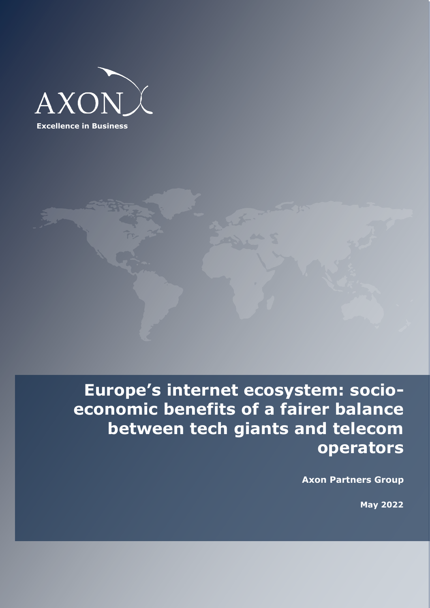



**Europe's internet ecosystem: socioeconomic benefits of a fairer balance between tech giants and telecom operators**

**Axon Partners Group**

 **May 2022**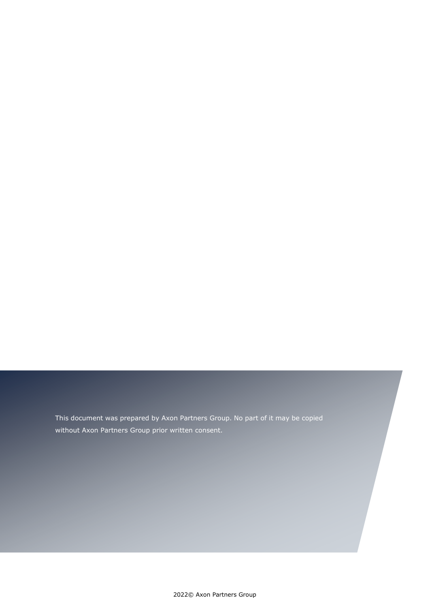This document was prepared by Axon Partners Group. No part of it may be copied without Axon Partners Group prior written consent.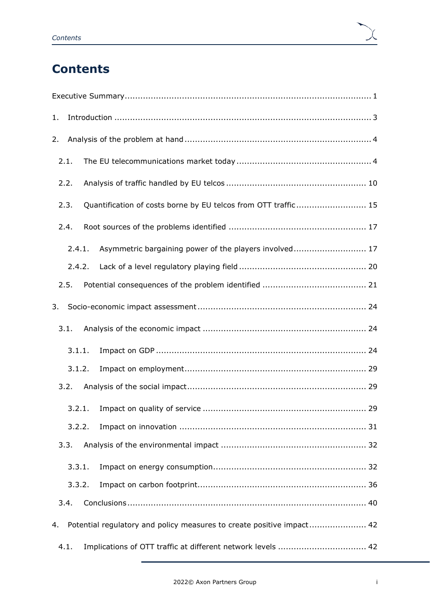# **Contents**

| 1. |        |                                                                       |
|----|--------|-----------------------------------------------------------------------|
| 2. |        |                                                                       |
|    | 2.1.   |                                                                       |
|    | 2.2.   |                                                                       |
|    | 2.3.   | Quantification of costs borne by EU telcos from OTT traffic 15        |
|    | 2.4.   |                                                                       |
|    | 2.4.1. | Asymmetric bargaining power of the players involved 17                |
|    | 2.4.2. |                                                                       |
|    | 2.5.   |                                                                       |
| 3. |        |                                                                       |
|    | 3.1.   |                                                                       |
|    | 3.1.1. |                                                                       |
|    | 3.1.2. |                                                                       |
|    | 3.2.   |                                                                       |
|    | 3.2.1. |                                                                       |
|    | 3.2.2. |                                                                       |
|    | 3.3.   |                                                                       |
|    | 3.3.1. |                                                                       |
|    | 3.3.2. |                                                                       |
|    | 3.4.   |                                                                       |
| 4. |        | Potential regulatory and policy measures to create positive impact 42 |
|    | 4.1.   | Implications of OTT traffic at different network levels  42           |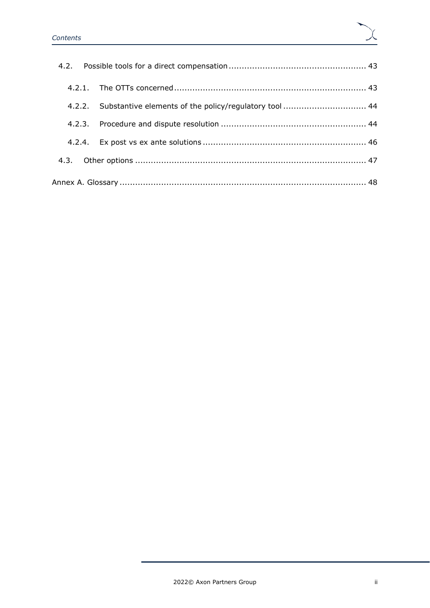| 4.2.2. Substantive elements of the policy/regulatory tool  44 |  |
|---------------------------------------------------------------|--|
|                                                               |  |
|                                                               |  |
|                                                               |  |
|                                                               |  |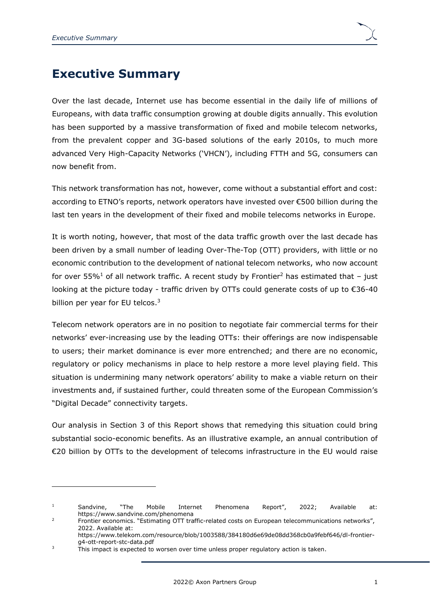# <span id="page-4-0"></span>**Executive Summary**

Over the last decade, Internet use has become essential in the daily life of millions of Europeans, with data traffic consumption growing at double digits annually. This evolution has been supported by a massive transformation of fixed and mobile telecom networks, from the prevalent copper and 3G-based solutions of the early 2010s, to much more advanced Very High-Capacity Networks ('VHCN'), including FTTH and 5G, consumers can now benefit from.

This network transformation has not, however, come without a substantial effort and cost: according to ETNO's reports, network operators have invested over €500 billion during the last ten years in the development of their fixed and mobile telecoms networks in Europe.

It is worth noting, however, that most of the data traffic growth over the last decade has been driven by a small number of leading Over-The-Top (OTT) providers, with little or no economic contribution to the development of national telecom networks, who now account for over 55%<sup>1</sup> of all network traffic. A recent study by Frontier<sup>2</sup> has estimated that  $-$  just looking at the picture today - traffic driven by OTTs could generate costs of up to €36-40 billion per year for EU telcos.<sup>3</sup>

Telecom network operators are in no position to negotiate fair commercial terms for their networks' ever-increasing use by the leading OTTs: their offerings are now indispensable to users; their market dominance is ever more entrenched; and there are no economic, regulatory or policy mechanisms in place to help restore a more level playing field. This situation is undermining many network operators' ability to make a viable return on their investments and, if sustained further, could threaten some of the European Commission's "Digital Decade" connectivity targets.

Our analysis in Section [3](#page-27-0) of this Report shows that remedying this situation could bring substantial socio-economic benefits. As an illustrative example, an annual contribution of €20 billion by OTTs to the development of telecoms infrastructure in the EU would raise

<sup>&</sup>lt;sup>1</sup> Sandvine, "The Mobile Internet Phenomena Report", 2022; Available at: https://www.sandvine.com/phenomena

<sup>2</sup> Frontier economics. "Estimating OTT traffic-related costs on European telecommunications networks", 2022. Available at:

https://www.telekom.com/resource/blob/1003588/384180d6e69de08dd368cb0a9febf646/dl-frontierg4-ott-report-stc-data.pdf

<sup>&</sup>lt;sup>3</sup> This impact is expected to worsen over time unless proper regulatory action is taken.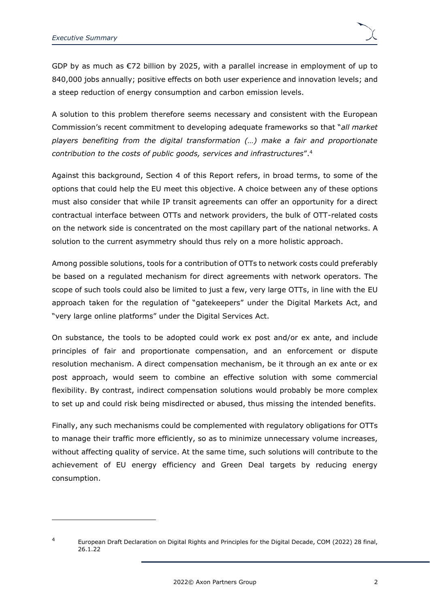GDP by as much as  $E$ 72 billion by 2025, with a parallel increase in employment of up to 840,000 jobs annually; positive effects on both user experience and innovation levels; and a steep reduction of energy consumption and carbon emission levels.

A solution to this problem therefore seems necessary and consistent with the European Commission's recent commitment to developing adequate frameworks so that "*all market players benefiting from the digital transformation (…) make a fair and proportionate contribution to the costs of public goods, services and infrastructures*".<sup>4</sup>

Against this background, Section [4](#page-45-0) of this Report refers, in broad terms, to some of the options that could help the EU meet this objective. A choice between any of these options must also consider that while IP transit agreements can offer an opportunity for a direct contractual interface between OTTs and network providers, the bulk of OTT-related costs on the network side is concentrated on the most capillary part of the national networks. A solution to the current asymmetry should thus rely on a more holistic approach.

Among possible solutions, tools for a contribution of OTTs to network costs could preferably be based on a regulated mechanism for direct agreements with network operators. The scope of such tools could also be limited to just a few, very large OTTs, in line with the EU approach taken for the regulation of "gatekeepers" under the Digital Markets Act, and "very large online platforms" under the Digital Services Act.

On substance, the tools to be adopted could work ex post and/or ex ante, and include principles of fair and proportionate compensation, and an enforcement or dispute resolution mechanism. A direct compensation mechanism, be it through an ex ante or ex post approach, would seem to combine an effective solution with some commercial flexibility. By contrast, indirect compensation solutions would probably be more complex to set up and could risk being misdirected or abused, thus missing the intended benefits.

Finally, any such mechanisms could be complemented with regulatory obligations for OTTs to manage their traffic more efficiently, so as to minimize unnecessary volume increases, without affecting quality of service. At the same time, such solutions will contribute to the achievement of EU energy efficiency and Green Deal targets by reducing energy consumption.

<sup>4</sup> European Draft Declaration on Digital Rights and Principles for the Digital Decade, COM (2022) 28 final, 26.1.22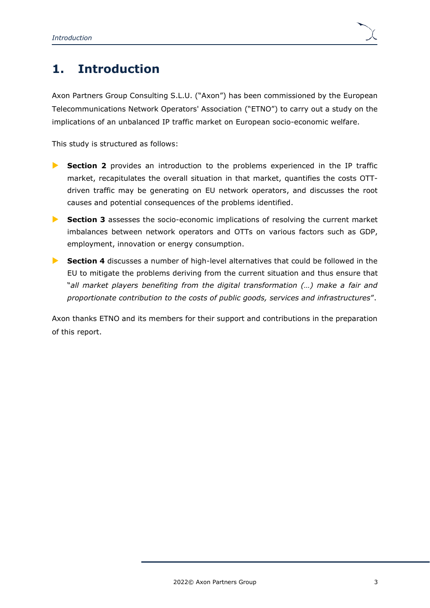# <span id="page-6-0"></span>**1. Introduction**

Axon Partners Group Consulting S.L.U. ("Axon") has been commissioned by the European Telecommunications Network Operators' Association ("ETNO") to carry out a study on the implications of an unbalanced IP traffic market on European socio-economic welfare.

This study is structured as follows:

- **Section [2](#page-7-0)** provides an introduction to the problems experienced in the IP traffic market, recapitulates the overall situation in that market, quantifies the costs OTTdriven traffic may be generating on EU network operators, and discusses the root causes and potential consequences of the problems identified.
- **Section [3](#page-27-0)** assesses the socio-economic implications of resolving the current market imbalances between network operators and OTTs on various factors such as GDP, employment, innovation or energy consumption.
- **Section [4](#page-45-0)** discusses a number of high-level alternatives that could be followed in the EU to mitigate the problems deriving from the current situation and thus ensure that "*all market players benefiting from the digital transformation (…) make a fair and proportionate contribution to the costs of public goods, services and infrastructures*".

Axon thanks ETNO and its members for their support and contributions in the preparation of this report.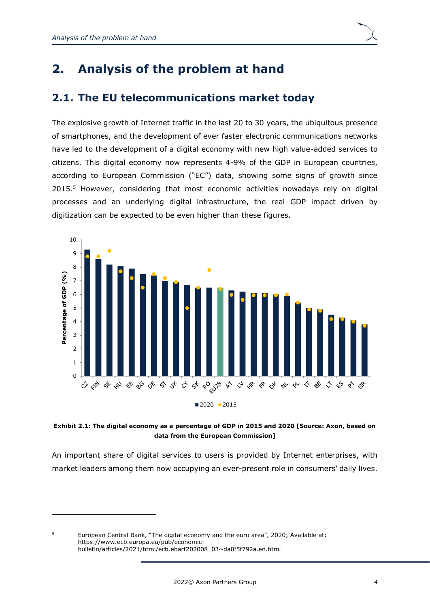# <span id="page-7-0"></span>**2. Analysis of the problem at hand**

## <span id="page-7-1"></span>**2.1. The EU telecommunications market today**

The explosive growth of Internet traffic in the last 20 to 30 years, the ubiquitous presence of smartphones, and the development of ever faster electronic communications networks have led to the development of a digital economy with new high value-added services to citizens. This digital economy now represents 4-9% of the GDP in European countries, according to European Commission ("EC") data, showing some signs of growth since 2015. <sup>5</sup> However, considering that most economic activities nowadays rely on digital processes and an underlying digital infrastructure, the real GDP impact driven by digitization can be expected to be even higher than these figures.



**Exhibit 2.1: The digital economy as a percentage of GDP in 2015 and 2020 [Source: Axon, based on data from the European Commission]**

An important share of digital services to users is provided by Internet enterprises, with market leaders among them now occupying an ever-present role in consumers' daily lives.

<sup>5</sup> European Central Bank, "The digital economy and the euro area", 2020; Available at: [https://www.ecb.europa.eu/pub/economic](https://www.ecb.europa.eu/pub/economic-bulletin/articles/2021/html/ecb.ebart202008_03~da0f5f792a.en.html)[bulletin/articles/2021/html/ecb.ebart202008\\_03~da0f5f792a.en.html](https://www.ecb.europa.eu/pub/economic-bulletin/articles/2021/html/ecb.ebart202008_03~da0f5f792a.en.html)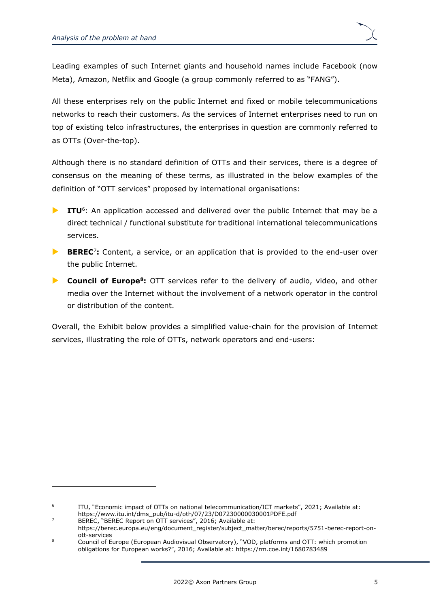Leading examples of such Internet giants and household names include Facebook (now Meta), Amazon, Netflix and Google (a group commonly referred to as "FANG").

All these enterprises rely on the public Internet and fixed or mobile telecommunications networks to reach their customers. As the services of Internet enterprises need to run on top of existing telco infrastructures, the enterprises in question are commonly referred to as OTTs (Over-the-top).

Although there is no standard definition of OTTs and their services, there is a degree of consensus on the meaning of these terms, as illustrated in the below examples of the definition of "OTT services" proposed by international organisations:

- **ITU**<sup>6</sup>: An application accessed and delivered over the public Internet that may be a direct technical / functional substitute for traditional international telecommunications services.
- **BEREC**<sup>7</sup>: Content, a service, or an application that is provided to the end-user over the public Internet.
- **Council of Europe<sup>8</sup>:** OTT services refer to the delivery of audio, video, and other media over the Internet without the involvement of a network operator in the control or distribution of the content.

Overall, the Exhibit below provides a simplified value-chain for the provision of Internet services, illustrating the role of OTTs, network operators and end-users:

<sup>6</sup> ITU, "Economic impact of OTTs on national telecommunication/ICT markets", 2021; Available at:

[https://www.itu.int/dms\\_pub/itu-d/oth/07/23/D07230000030001PDFE.pdf](https://www.itu.int/dms_pub/itu-d/oth/07/23/D07230000030001PDFE.pdf) <sup>7</sup> BEREC, "BEREC Report on OTT services", 2016; Available at:

[https://berec.europa.eu/eng/document\\_register/subject\\_matter/berec/reports/5751-berec-report-on](https://berec.europa.eu/eng/document_register/subject_matter/berec/reports/5751-berec-report-on-ott-services)[ott-services](https://berec.europa.eu/eng/document_register/subject_matter/berec/reports/5751-berec-report-on-ott-services)

<sup>8</sup> Council of Europe (European Audiovisual Observatory), "VOD, platforms and OTT: which promotion obligations for European works?", 2016; Available at: <https://rm.coe.int/1680783489>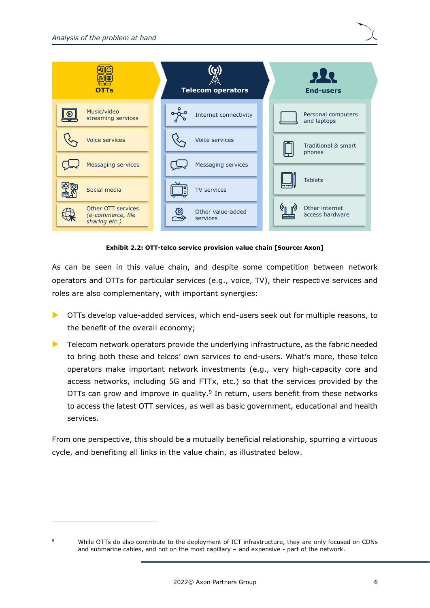

**Exhibit 2.2: OTT-telco service provision value chain [Source: Axon]**

As can be seen in this value chain, and despite some competition between network operators and OTTs for particular services (e.g., voice, TV), their respective services and roles are also complementary, with important synergies:

- OTTs develop value-added services, which end-users seek out for multiple reasons, to the benefit of the overall economy;
- $\blacktriangleright$  Telecom network operators provide the underlying infrastructure, as the fabric needed to bring both these and telcos' own services to end-users. What's more, these telco operators make important network investments (e.g., very high-capacity core and access networks, including 5G and FTTx, etc.) so that the services provided by the OTTs can grow and improve in quality. $9$  In return, users benefit from these networks to access the latest OTT services, as well as basic government, educational and health services.

From one perspective, this should be a mutually beneficial relationship, spurring a virtuous cycle, and benefiting all links in the value chain, as illustrated below.

<sup>9</sup> While OTTs do also contribute to the deployment of ICT infrastructure, they are only focused on CDNs and submarine cables, and not on the most capillary – and expensive - part of the network.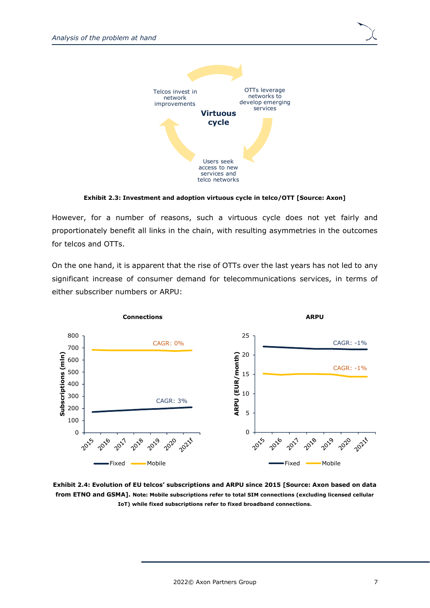

**Exhibit 2.3: Investment and adoption virtuous cycle in telco/OTT [Source: Axon]**

However, for a number of reasons, such a virtuous cycle does not yet fairly and proportionately benefit all links in the chain, with resulting asymmetries in the outcomes for telcos and OTTs.

On the one hand, it is apparent that the rise of OTTs over the last years has not led to any significant increase of consumer demand for telecommunications services, in terms of either subscriber numbers or ARPU:



**Exhibit 2.4: Evolution of EU telcos' subscriptions and ARPU since 2015 [Source: Axon based on data from ETNO and GSMA]. Note: Mobile subscriptions refer to total SIM connections (excluding licensed cellular IoT) while fixed subscriptions refer to fixed broadband connections.**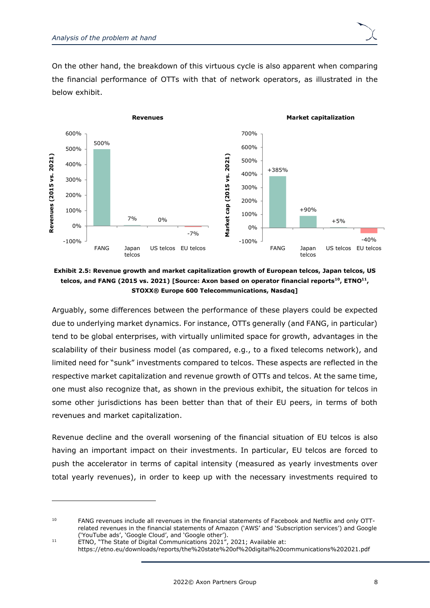

On the other hand, the breakdown of this virtuous cycle is also apparent when comparing the financial performance of OTTs with that of network operators, as illustrated in the below exhibit.



**Exhibit 2.5: Revenue growth and market capitalization growth of European telcos, Japan telcos, US telcos, and FANG (2015 vs. 2021) [Source: Axon based on operator financial reports<sup>10</sup>, ETNO<sup>11</sup> , STOXX® Europe 600 Telecommunications, Nasdaq]**

Arguably, some differences between the performance of these players could be expected due to underlying market dynamics. For instance, OTTs generally (and FANG, in particular) tend to be global enterprises, with virtually unlimited space for growth, advantages in the scalability of their business model (as compared, e.g., to a fixed telecoms network), and limited need for "sunk" investments compared to telcos. These aspects are reflected in the respective market capitalization and revenue growth of OTTs and telcos. At the same time, one must also recognize that, as shown in the previous exhibit, the situation for telcos in some other jurisdictions has been better than that of their EU peers, in terms of both revenues and market capitalization.

Revenue decline and the overall worsening of the financial situation of EU telcos is also having an important impact on their investments. In particular, EU telcos are forced to push the accelerator in terms of capital intensity (measured as yearly investments over total yearly revenues), in order to keep up with the necessary investments required to

<https://etno.eu/downloads/reports/the%20state%20of%20digital%20communications%202021.pdf>

<sup>&</sup>lt;sup>10</sup> FANG revenues include all revenues in the financial statements of Facebook and Netflix and only OTTrelated revenues in the financial statements of Amazon ('AWS' and 'Subscription services') and Google ('YouTube ads', 'Google Cloud', and 'Google other').

<sup>11</sup> ETNO, "The State of Digital Communications 2021", 2021; Available at: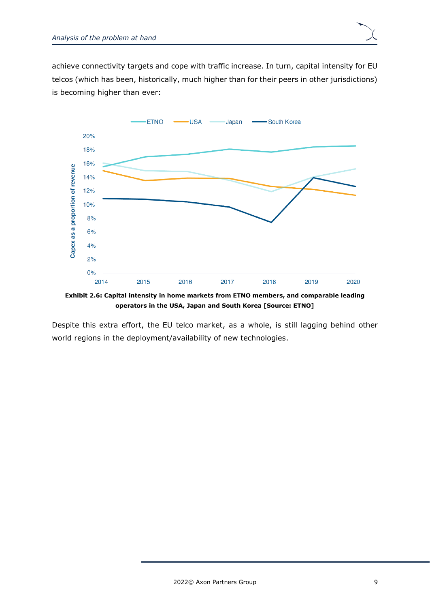achieve connectivity targets and cope with traffic increase. In turn, capital intensity for EU telcos (which has been, historically, much higher than for their peers in other jurisdictions) is becoming higher than ever:



**Exhibit 2.6: Capital intensity in home markets from ETNO members, and comparable leading operators in the USA, Japan and South Korea [Source: ETNO]**

Despite this extra effort, the EU telco market, as a whole, is still lagging behind other world regions in the deployment/availability of new technologies.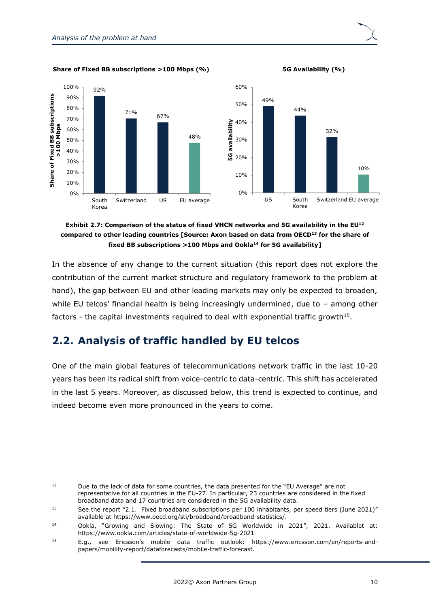**Share of Fixed BB subscriptions >100 Mbps (%) 5G Availability (%)**





**Exhibit 2.7: Comparison of the status of fixed VHCN networks and 5G availability in the EU<sup>12</sup> compared to other leading countries [Source: Axon based on data from OECD<sup>13</sup> for the share of fixed BB subscriptions >100 Mbps and Ookla<sup>14</sup> for 5G availability]**

In the absence of any change to the current situation (this report does not explore the contribution of the current market structure and regulatory framework to the problem at hand), the gap between EU and other leading markets may only be expected to broaden, while EU telcos' financial health is being increasingly undermined, due to - among other factors - the capital investments required to deal with exponential traffic growth<sup>15</sup>.

## <span id="page-13-0"></span>**2.2. Analysis of traffic handled by EU telcos**

One of the main global features of telecommunications network traffic in the last 10-20 years has been its radical shift from voice-centric to data-centric. This shift has accelerated in the last 5 years. Moreover, as discussed below, this trend is expected to continue, and indeed become even more pronounced in the years to come.

<sup>&</sup>lt;sup>12</sup> Due to the lack of data for some countries, the data presented for the "EU Average" are not representative for all countries in the EU-27. In particular, 23 countries are considered in the fixed broadband data and 17 countries are considered in the 5G availability data.

<sup>&</sup>lt;sup>13</sup> See the report "2.1. Fixed broadband subscriptions per 100 inhabitants, per speed tiers (June 2021)" available at https://www.oecd.org/sti/broadband/broadband-statistics/.

<sup>14</sup> Ookla, "Growing and Slowing: The State of 5G Worldwide in 2021", 2021. Availablet at: https://www.ookla.com/articles/state-of-worldwide-5g-2021

<sup>15</sup> E.g., see Ericsson's mobile data traffic outlook: https://www.ericsson.com/en/reports-andpapers/mobility-report/dataforecasts/mobile-traffic-forecast.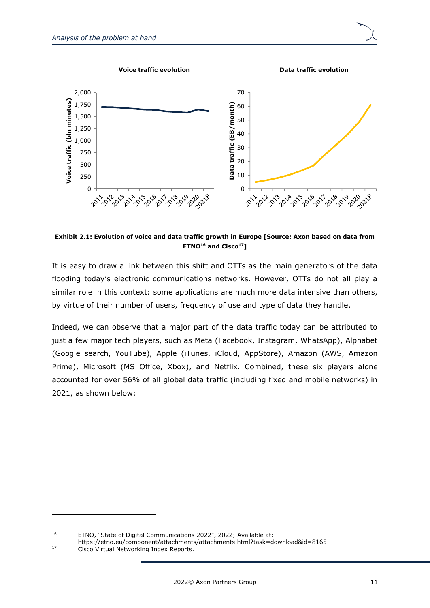

**Exhibit 2.1: Evolution of voice and data traffic growth in Europe [Source: Axon based on data from ETNO<sup>16</sup> and Cisco<sup>17</sup>]**

It is easy to draw a link between this shift and OTTs as the main generators of the data flooding today's electronic communications networks. However, OTTs do not all play a similar role in this context: some applications are much more data intensive than others, by virtue of their number of users, frequency of use and type of data they handle.

Indeed, we can observe that a major part of the data traffic today can be attributed to just a few major tech players, such as Meta (Facebook, Instagram, WhatsApp), Alphabet (Google search, YouTube), Apple (iTunes, iCloud, AppStore), Amazon (AWS, Amazon Prime), Microsoft (MS Office, Xbox), and Netflix. Combined, these six players alone accounted for over 56% of all global data traffic (including fixed and mobile networks) in 2021, as shown below:

<https://etno.eu/component/attachments/attachments.html?task=download&id=8165>

<sup>16</sup> ETNO, "State of Digital Communications 2022", 2022; Available at:

<sup>17</sup> Cisco Virtual Networking Index Reports.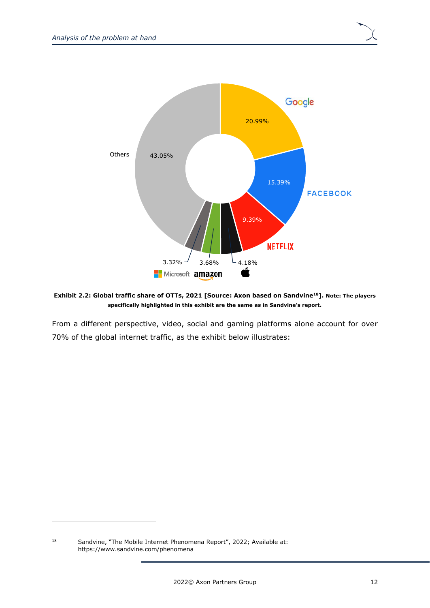

**Exhibit 2.2: Global traffic share of OTTs, 2021 [Source: Axon based on Sandvine<sup>18</sup>]. Note: The players specifically highlighted in this exhibit are the same as in Sandvine's report.**

From a different perspective, video, social and gaming platforms alone account for over 70% of the global internet traffic, as the exhibit below illustrates:

<sup>&</sup>lt;sup>18</sup> Sandvine, "The Mobile Internet Phenomena Report", 2022; Available at: <https://www.sandvine.com/phenomena>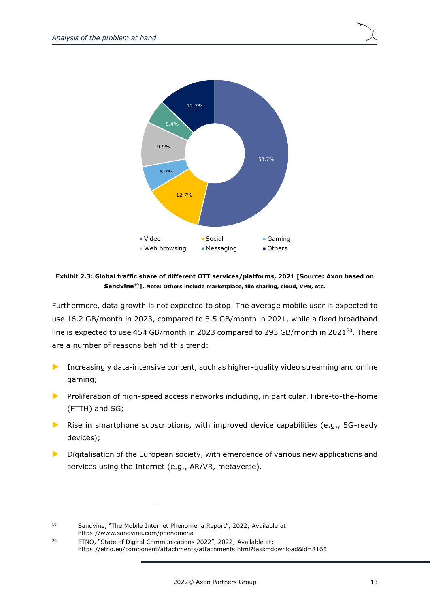

**Exhibit 2.3: Global traffic share of different OTT services/platforms, 2021 [Source: Axon based on Sandvine<sup>19</sup>]. Note: Others include marketplace, file sharing, cloud, VPN, etc.**

Furthermore, data growth is not expected to stop. The average mobile user is expected to use 16.2 GB/month in 2023, compared to 8.5 GB/month in 2021, while a fixed broadband line is expected to use 454 GB/month in 2023 compared to 293 GB/month in 2021 $^{20}$ . There are a number of reasons behind this trend:

- Increasingly data-intensive content, such as higher-quality video streaming and online gaming;
- **Proliferation of high-speed access networks including, in particular, Fibre-to-the-home** (FTTH) and 5G;
- **Rise in smartphone subscriptions, with improved device capabilities (e.g., 5G-ready** devices);
- Digitalisation of the European society, with emergence of various new applications and services using the Internet (e.g., AR/VR, metaverse).

<sup>19</sup> Sandvine, "The Mobile Internet Phenomena Report", 2022; Available at: <https://www.sandvine.com/phenomena>

<sup>&</sup>lt;sup>20</sup> ETNO, "State of Digital Communications 2022", 2022; Available at: <https://etno.eu/component/attachments/attachments.html?task=download&id=8165>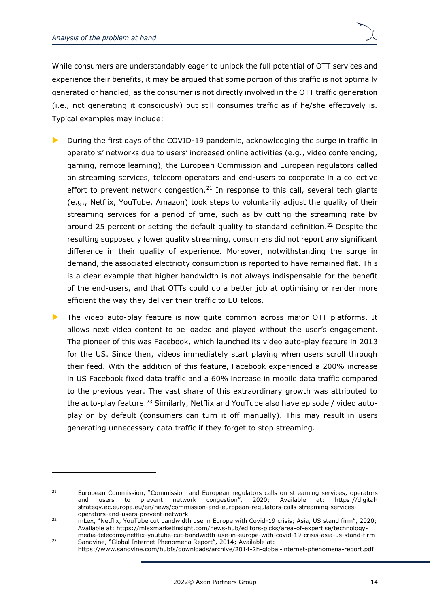While consumers are understandably eager to unlock the full potential of OTT services and experience their benefits, it may be argued that some portion of this traffic is not optimally generated or handled, as the consumer is not directly involved in the OTT traffic generation (i.e., not generating it consciously) but still consumes traffic as if he/she effectively is. Typical examples may include:

- During the first days of the COVID-19 pandemic, acknowledging the surge in traffic in operators' networks due to users' increased online activities (e.g., video conferencing, gaming, remote learning), the European Commission and European regulators called on streaming services, telecom operators and end-users to cooperate in a collective effort to prevent network congestion.<sup>21</sup> In response to this call, several tech giants (e.g., Netflix, YouTube, Amazon) took steps to voluntarily adjust the quality of their streaming services for a period of time, such as by cutting the streaming rate by around 25 percent or setting the default quality to standard definition. <sup>22</sup> Despite the resulting supposedly lower quality streaming, consumers did not report any significant difference in their quality of experience. Moreover, notwithstanding the surge in demand, the associated electricity consumption is reported to have remained flat. This is a clear example that higher bandwidth is not always indispensable for the benefit of the end-users, and that OTTs could do a better job at optimising or render more efficient the way they deliver their traffic to EU telcos.
- The video auto-play feature is now quite common across major OTT platforms. It allows next video content to be loaded and played without the user's engagement. The pioneer of this was Facebook, which launched its video auto-play feature in 2013 for the US. Since then, videos immediately start playing when users scroll through their feed. With the addition of this feature, Facebook experienced a 200% increase in US Facebook fixed data traffic and a 60% increase in mobile data traffic compared to the previous year. The vast share of this extraordinary growth was attributed to the auto-play feature.<sup>23</sup> Similarly, Netflix and YouTube also have episode / video autoplay on by default (consumers can turn it off manually). This may result in users generating unnecessary data traffic if they forget to stop streaming.

<sup>&</sup>lt;sup>21</sup> European Commission, "Commission and European regulators calls on streaming services, operators and users to prevent network congestion", 2020; Available at: [https://digital](https://digital-strategy.ec.europa.eu/en/news/commission-and-european-regulators-calls-streaming-services-operators-and-users-prevent-network)[strategy.ec.europa.eu/en/news/commission-and-european-regulators-calls-streaming-services](https://digital-strategy.ec.europa.eu/en/news/commission-and-european-regulators-calls-streaming-services-operators-and-users-prevent-network)[operators-and-users-prevent-network](https://digital-strategy.ec.europa.eu/en/news/commission-and-european-regulators-calls-streaming-services-operators-and-users-prevent-network)

<sup>22</sup> mLex, "Netflix, YouTube cut bandwidth use in Europe with Covid-19 crisis; Asia, US stand firm", 2020; Available at: [https://mlexmarketinsight.com/news-hub/editors-picks/area-of-expertise/technology](https://mlexmarketinsight.com/news-hub/editors-picks/area-of-expertise/technology-media-telecoms/netflix-youtube-cut-bandwidth-use-in-europe-with-covid-19-crisis-asia-us-stand-firm)[media-telecoms/netflix-youtube-cut-bandwidth-use-in-europe-with-covid-19-crisis-asia-us-stand-firm](https://mlexmarketinsight.com/news-hub/editors-picks/area-of-expertise/technology-media-telecoms/netflix-youtube-cut-bandwidth-use-in-europe-with-covid-19-crisis-asia-us-stand-firm)

<sup>&</sup>lt;sup>23</sup> Sandvine, "Global Internet Phenomena Report", 2014; Available at: <https://www.sandvine.com/hubfs/downloads/archive/2014-2h-global-internet-phenomena-report.pdf>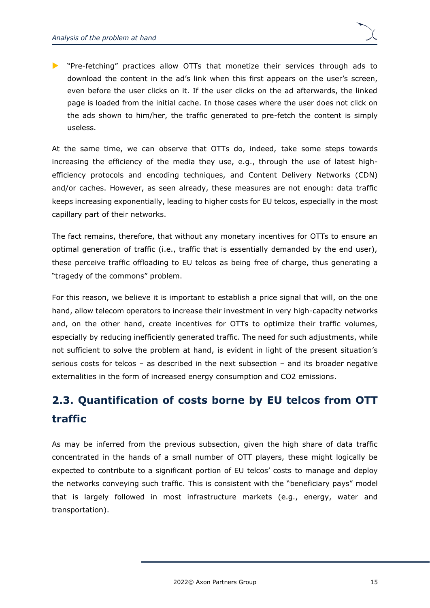**D** "Pre-fetching" practices allow OTTs that monetize their services through ads to download the content in the ad's link when this first appears on the user's screen, even before the user clicks on it. If the user clicks on the ad afterwards, the linked page is loaded from the initial cache. In those cases where the user does not click on the ads shown to him/her, the traffic generated to pre-fetch the content is simply useless.

At the same time, we can observe that OTTs do, indeed, take some steps towards increasing the efficiency of the media they use, e.g., through the use of latest highefficiency protocols and encoding techniques, and Content Delivery Networks (CDN) and/or caches. However, as seen already, these measures are not enough: data traffic keeps increasing exponentially, leading to higher costs for EU telcos, especially in the most capillary part of their networks.

The fact remains, therefore, that without any monetary incentives for OTTs to ensure an optimal generation of traffic (i.e., traffic that is essentially demanded by the end user), these perceive traffic offloading to EU telcos as being free of charge, thus generating a "tragedy of the commons" problem.

For this reason, we believe it is important to establish a price signal that will, on the one hand, allow telecom operators to increase their investment in very high-capacity networks and, on the other hand, create incentives for OTTs to optimize their traffic volumes, especially by reducing inefficiently generated traffic. The need for such adjustments, while not sufficient to solve the problem at hand, is evident in light of the present situation's serious costs for telcos – as described in the next subsection – and its broader negative externalities in the form of increased energy consumption and CO2 emissions.

# <span id="page-18-0"></span>**2.3. Quantification of costs borne by EU telcos from OTT traffic**

As may be inferred from the previous subsection, given the high share of data traffic concentrated in the hands of a small number of OTT players, these might logically be expected to contribute to a significant portion of EU telcos' costs to manage and deploy the networks conveying such traffic. This is consistent with the "beneficiary pays" model that is largely followed in most infrastructure markets (e.g., energy, water and transportation).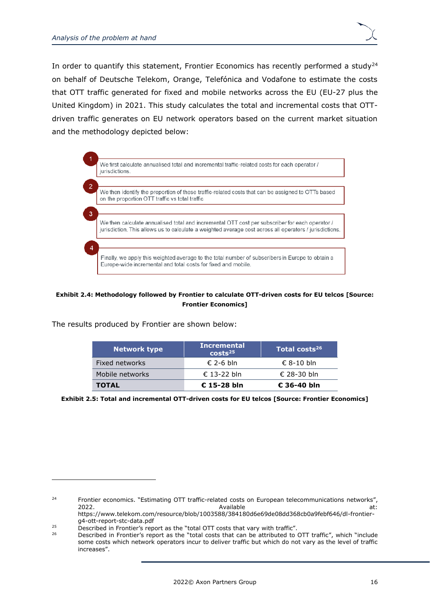In order to quantify this statement, Frontier Economics has recently performed a study<sup>24</sup> on behalf of Deutsche Telekom, Orange, Telefónica and Vodafone to estimate the costs that OTT traffic generated for fixed and mobile networks across the EU (EU-27 plus the United Kingdom) in 2021. This study calculates the total and incremental costs that OTTdriven traffic generates on EU network operators based on the current market situation and the methodology depicted below:



#### **Exhibit 2.4: Methodology followed by Frontier to calculate OTT-driven costs for EU telcos [Source: Frontier Economics]**

The results produced by Frontier are shown below:

| <b>Network type</b> | <b>Incremental</b><br>costs <sup>25</sup> | Total costs <sup>26</sup> |
|---------------------|-------------------------------------------|---------------------------|
| Fixed networks      | € 2-6 bln                                 | $\epsilon$ 8-10 bln       |
| Mobile networks     | € 13-22 bln                               | € 28-30 bln               |
| <b>TOTAL</b>        | $E$ 15-28 bln                             | $\epsilon$ 36-40 bln      |

**Exhibit 2.5: Total and incremental OTT-driven costs for EU telcos [Source: Frontier Economics]**

<sup>&</sup>lt;sup>24</sup> Frontier economics. "Estimating OTT traffic-related costs on European telecommunications networks", 2022. Available at: https://www.telekom.com/resource/blob/1003588/384180d6e69de08dd368cb0a9febf646/dl-frontier-

g4-ott-report-stc-data.pdf

<sup>&</sup>lt;sup>25</sup> Described in Frontier's report as the "total OTT costs that vary with traffic".<br><sup>26</sup> Described in Frontier's report as the "total costs that can be attributed to

<sup>26</sup> Described in Frontier's report as the "total costs that can be attributed to OTT traffic", which "include some costs which network operators incur to deliver traffic but which do not vary as the level of traffic increases".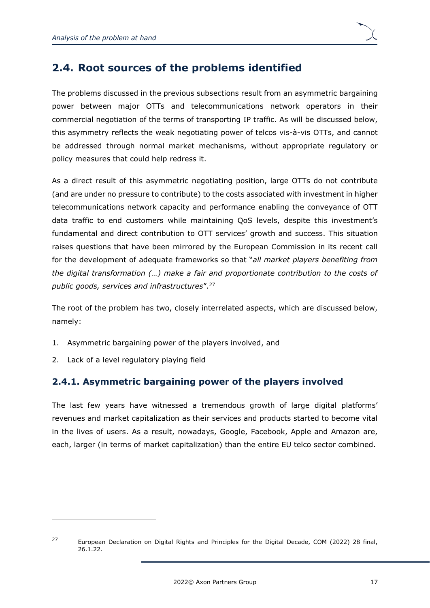## <span id="page-20-0"></span>**2.4. Root sources of the problems identified**

The problems discussed in the previous subsections result from an asymmetric bargaining power between major OTTs and telecommunications network operators in their commercial negotiation of the terms of transporting IP traffic. As will be discussed below, this asymmetry reflects the weak negotiating power of telcos vis-à-vis OTTs, and cannot be addressed through normal market mechanisms, without appropriate regulatory or policy measures that could help redress it.

As a direct result of this asymmetric negotiating position, large OTTs do not contribute (and are under no pressure to contribute) to the costs associated with investment in higher telecommunications network capacity and performance enabling the conveyance of OTT data traffic to end customers while maintaining QoS levels, despite this investment's fundamental and direct contribution to OTT services' growth and success. This situation raises questions that have been mirrored by the European Commission in its recent call for the development of adequate frameworks so that "*all market players benefiting from the digital transformation (…) make a fair and proportionate contribution to the costs of public goods, services and infrastructures*". 27

The root of the problem has two, closely interrelated aspects, which are discussed below, namely:

- 1. Asymmetric bargaining power of the players involved, and
- 2. Lack of a level regulatory playing field

### <span id="page-20-1"></span>**2.4.1. Asymmetric bargaining power of the players involved**

The last few years have witnessed a tremendous growth of large digital platforms' revenues and market capitalization as their services and products started to become vital in the lives of users. As a result, nowadays, Google, Facebook, Apple and Amazon are, each, larger (in terms of market capitalization) than the entire EU telco sector combined.

<sup>&</sup>lt;sup>27</sup> European Declaration on Digital Rights and Principles for the Digital Decade, COM (2022) 28 final, 26.1.22.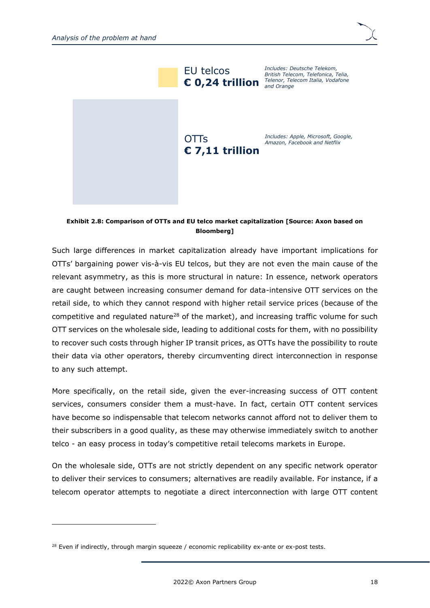



**Exhibit 2.8: Comparison of OTTs and EU telco market capitalization [Source: Axon based on Bloomberg]**

Such large differences in market capitalization already have important implications for OTTs' bargaining power vis-à-vis EU telcos, but they are not even the main cause of the relevant asymmetry, as this is more structural in nature: In essence, network operators are caught between increasing consumer demand for data-intensive OTT services on the retail side, to which they cannot respond with higher retail service prices (because of the competitive and regulated nature<sup>28</sup> of the market), and increasing traffic volume for such OTT services on the wholesale side, leading to additional costs for them, with no possibility to recover such costs through higher IP transit prices, as OTTs have the possibility to route their data via other operators, thereby circumventing direct interconnection in response to any such attempt.

More specifically, on the retail side, given the ever-increasing success of OTT content services, consumers consider them a must-have. In fact, certain OTT content services have become so indispensable that telecom networks cannot afford not to deliver them to their subscribers in a good quality, as these may otherwise immediately switch to another telco - an easy process in today's competitive retail telecoms markets in Europe.

On the wholesale side, OTTs are not strictly dependent on any specific network operator to deliver their services to consumers; alternatives are readily available. For instance, if a telecom operator attempts to negotiate a direct interconnection with large OTT content

 $28$  Even if indirectly, through margin squeeze / economic replicability ex-ante or ex-post tests.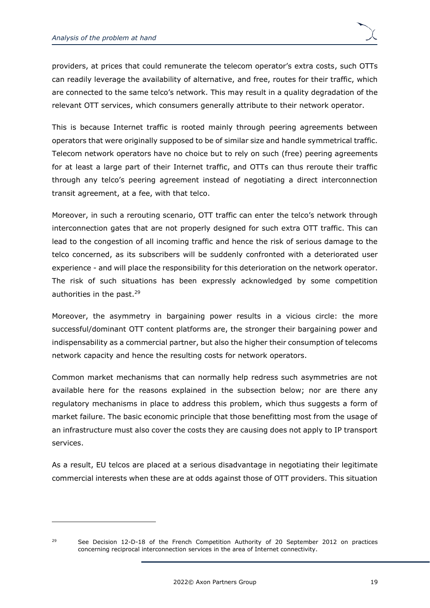providers, at prices that could remunerate the telecom operator's extra costs, such OTTs can readily leverage the availability of alternative, and free, routes for their traffic, which are connected to the same telco's network. This may result in a quality degradation of the relevant OTT services, which consumers generally attribute to their network operator.

This is because Internet traffic is rooted mainly through peering agreements between operators that were originally supposed to be of similar size and handle symmetrical traffic. Telecom network operators have no choice but to rely on such (free) peering agreements for at least a large part of their Internet traffic, and OTTs can thus reroute their traffic through any telco's peering agreement instead of negotiating a direct interconnection transit agreement, at a fee, with that telco.

Moreover, in such a rerouting scenario, OTT traffic can enter the telco's network through interconnection gates that are not properly designed for such extra OTT traffic. This can lead to the congestion of all incoming traffic and hence the risk of serious damage to the telco concerned, as its subscribers will be suddenly confronted with a deteriorated user experience - and will place the responsibility for this deterioration on the network operator. The risk of such situations has been expressly acknowledged by some competition authorities in the past.<sup>29</sup>

Moreover, the asymmetry in bargaining power results in a vicious circle: the more successful/dominant OTT content platforms are, the stronger their bargaining power and indispensability as a commercial partner, but also the higher their consumption of telecoms network capacity and hence the resulting costs for network operators.

Common market mechanisms that can normally help redress such asymmetries are not available here for the reasons explained in the subsection below; nor are there any regulatory mechanisms in place to address this problem, which thus suggests a form of market failure. The basic economic principle that those benefitting most from the usage of an infrastructure must also cover the costs they are causing does not apply to IP transport services.

As a result, EU telcos are placed at a serious disadvantage in negotiating their legitimate commercial interests when these are at odds against those of OTT providers. This situation

<sup>&</sup>lt;sup>29</sup> See Decision 12-D-18 of the French Competition Authority of 20 September 2012 on practices concerning reciprocal interconnection services in the area of Internet connectivity.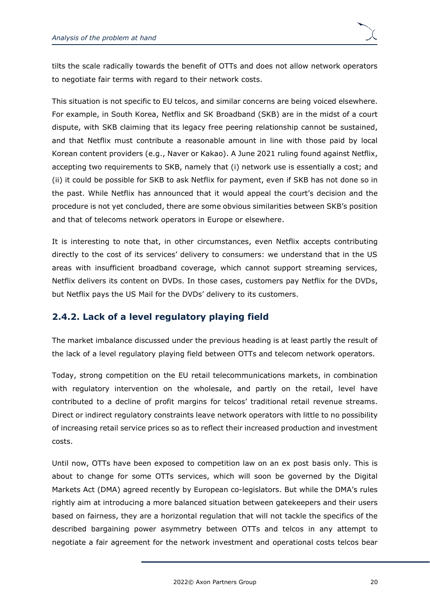tilts the scale radically towards the benefit of OTTs and does not allow network operators to negotiate fair terms with regard to their network costs.

This situation is not specific to EU telcos, and similar concerns are being voiced elsewhere. For example, in South Korea, Netflix and SK Broadband (SKB) are in the midst of a court dispute, with SKB claiming that its legacy free peering relationship cannot be sustained, and that Netflix must contribute a reasonable amount in line with those paid by local Korean content providers (e.g., Naver or Kakao). A June 2021 ruling found against Netflix, accepting two requirements to SKB, namely that (i) network use is essentially a cost; and (ii) it could be possible for SKB to ask Netflix for payment, even if SKB has not done so in the past. While Netflix has announced that it would appeal the court's decision and the procedure is not yet concluded, there are some obvious similarities between SKB's position and that of telecoms network operators in Europe or elsewhere.

It is interesting to note that, in other circumstances, even Netflix accepts contributing directly to the cost of its services' delivery to consumers: we understand that in the US areas with insufficient broadband coverage, which cannot support streaming services, Netflix delivers its content on DVDs. In those cases, customers pay Netflix for the DVDs, but Netflix pays the US Mail for the DVDs' delivery to its customers.

### <span id="page-23-0"></span>**2.4.2. Lack of a level regulatory playing field**

The market imbalance discussed under the previous heading is at least partly the result of the lack of a level regulatory playing field between OTTs and telecom network operators.

Today, strong competition on the EU retail telecommunications markets, in combination with regulatory intervention on the wholesale, and partly on the retail, level have contributed to a decline of profit margins for telcos' traditional retail revenue streams. Direct or indirect regulatory constraints leave network operators with little to no possibility of increasing retail service prices so as to reflect their increased production and investment costs.

Until now, OTTs have been exposed to competition law on an ex post basis only. This is about to change for some OTTs services, which will soon be governed by the Digital Markets Act (DMA) agreed recently by European co-legislators. But while the DMA's rules rightly aim at introducing a more balanced situation between gatekeepers and their users based on fairness, they are a horizontal regulation that will not tackle the specifics of the described bargaining power asymmetry between OTTs and telcos in any attempt to negotiate a fair agreement for the network investment and operational costs telcos bear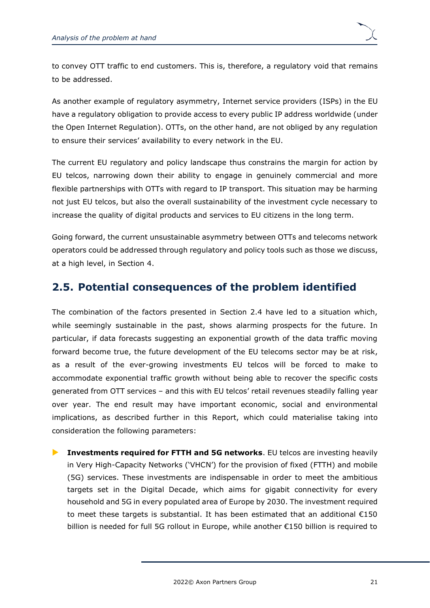to convey OTT traffic to end customers. This is, therefore, a regulatory void that remains to be addressed.

As another example of regulatory asymmetry, Internet service providers (ISPs) in the EU have a regulatory obligation to provide access to every public IP address worldwide (under the Open Internet Regulation). OTTs, on the other hand, are not obliged by any regulation to ensure their services' availability to every network in the EU.

The current EU regulatory and policy landscape thus constrains the margin for action by EU telcos, narrowing down their ability to engage in genuinely commercial and more flexible partnerships with OTTs with regard to IP transport. This situation may be harming not just EU telcos, but also the overall sustainability of the investment cycle necessary to increase the quality of digital products and services to EU citizens in the long term.

Going forward, the current unsustainable asymmetry between OTTs and telecoms network operators could be addressed through regulatory and policy tools such as those we discuss, at a high level, in Section [4.](#page-45-0)

## <span id="page-24-0"></span>**2.5. Potential consequences of the problem identified**

The combination of the factors presented in Section [2.4](#page-20-0) have led to a situation which, while seemingly sustainable in the past, shows alarming prospects for the future. In particular, if data forecasts suggesting an exponential growth of the data traffic moving forward become true, the future development of the EU telecoms sector may be at risk, as a result of the ever-growing investments EU telcos will be forced to make to accommodate exponential traffic growth without being able to recover the specific costs generated from OTT services – and this with EU telcos' retail revenues steadily falling year over year. The end result may have important economic, social and environmental implications, as described further in this Report, which could materialise taking into consideration the following parameters:

 **Investments required for FTTH and 5G networks**. EU telcos are investing heavily in Very High-Capacity Networks ('VHCN') for the provision of fixed (FTTH) and mobile (5G) services. These investments are indispensable in order to meet the ambitious targets set in the Digital Decade, which aims for gigabit connectivity for every household and 5G in every populated area of Europe by 2030. The investment required to meet these targets is substantial. It has been estimated that an additional  $£150$ billion is needed for full 5G rollout in Europe, while another €150 billion is required to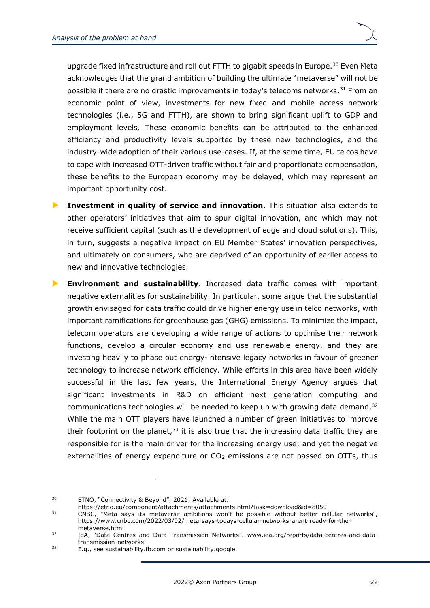upgrade fixed infrastructure and roll out FTTH to gigabit speeds in Europe.<sup>30</sup> Even Meta acknowledges that the grand ambition of building the ultimate "metaverse" will not be possible if there are no drastic improvements in today's telecoms networks.<sup>31</sup> From an economic point of view, investments for new fixed and mobile access network technologies (i.e., 5G and FTTH), are shown to bring significant uplift to GDP and employment levels. These economic benefits can be attributed to the enhanced efficiency and productivity levels supported by these new technologies, and the industry-wide adoption of their various use-cases. If, at the same time, EU telcos have to cope with increased OTT-driven traffic without fair and proportionate compensation, these benefits to the European economy may be delayed, which may represent an important opportunity cost.

 **Investment in quality of service and innovation**. This situation also extends to other operators' initiatives that aim to spur digital innovation, and which may not receive sufficient capital (such as the development of edge and cloud solutions). This, in turn, suggests a negative impact on EU Member States' innovation perspectives, and ultimately on consumers, who are deprived of an opportunity of earlier access to new and innovative technologies.

 **Environment and sustainability**. Increased data traffic comes with important negative externalities for sustainability. In particular, some argue that the substantial growth envisaged for data traffic could drive higher energy use in telco networks, with important ramifications for greenhouse gas (GHG) emissions. To minimize the impact, telecom operators are developing a wide range of actions to optimise their network functions, develop a circular economy and use renewable energy, and they are investing heavily to phase out energy-intensive legacy networks in favour of greener technology to increase network efficiency. While efforts in this area have been widely successful in the last few years, the International Energy Agency argues that significant investments in R&D on efficient next generation computing and communications technologies will be needed to keep up with growing data demand.<sup>32</sup> While the main OTT players have launched a number of green initiatives to improve their footprint on the planet, $33$  it is also true that the increasing data traffic they are responsible for is the main driver for the increasing energy use; and yet the negative externalities of energy expenditure or  $CO<sub>2</sub>$  emissions are not passed on OTTs, thus

<sup>30</sup> ETNO, "Connectivity & Beyond", 2021; Available at:

<https://etno.eu/component/attachments/attachments.html?task=download&id=8050>

<sup>31</sup> CNBC, "Meta says its metaverse ambitions won't be possible without better cellular networks", https://www.cnbc.com/2022/03/02/meta-says-todays-cellular-networks-arent-ready-for-themetaverse.html

<sup>32</sup> IEA, "Data Centres and Data Transmission Networks". www.iea.org/reports/data-centres-and-datatransmission-networks

<sup>&</sup>lt;sup>33</sup> E.g., see sustainability.fb.com or sustainability.google.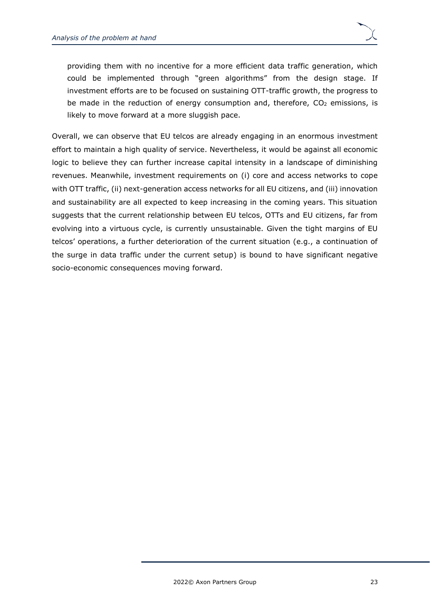providing them with no incentive for a more efficient data traffic generation, which could be implemented through "green algorithms" from the design stage. If investment efforts are to be focused on sustaining OTT-traffic growth, the progress to be made in the reduction of energy consumption and, therefore,  $CO<sub>2</sub>$  emissions, is likely to move forward at a more sluggish pace.

Overall, we can observe that EU telcos are already engaging in an enormous investment effort to maintain a high quality of service. Nevertheless, it would be against all economic logic to believe they can further increase capital intensity in a landscape of diminishing revenues. Meanwhile, investment requirements on (i) core and access networks to cope with OTT traffic, (ii) next-generation access networks for all EU citizens, and (iii) innovation and sustainability are all expected to keep increasing in the coming years. This situation suggests that the current relationship between EU telcos, OTTs and EU citizens, far from evolving into a virtuous cycle, is currently unsustainable. Given the tight margins of EU telcos' operations, a further deterioration of the current situation (e.g., a continuation of the surge in data traffic under the current setup) is bound to have significant negative socio-economic consequences moving forward.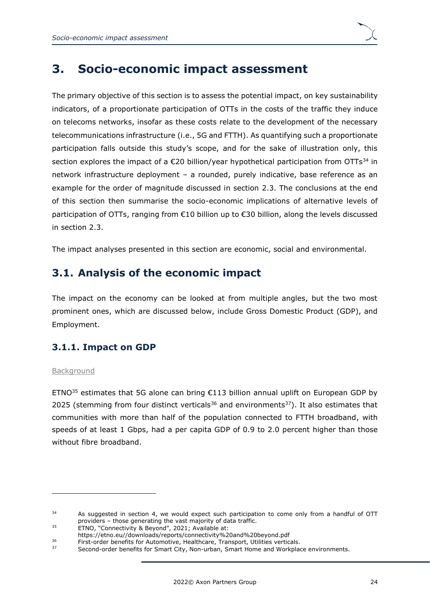

## <span id="page-27-0"></span>**3. Socio-economic impact assessment**

The primary objective of this section is to assess the potential impact, on key sustainability indicators, of a proportionate participation of OTTs in the costs of the traffic they induce on telecoms networks, insofar as these costs relate to the development of the necessary telecommunications infrastructure (i.e., 5G and FTTH). As quantifying such a proportionate participation falls outside this study's scope, and for the sake of illustration only, this section explores the impact of a  $\epsilon$ 20 billion/year hypothetical participation from OTTs<sup>34</sup> in network infrastructure deployment – a rounded, purely indicative, base reference as an example for the order of magnitude discussed in section [2.3.](#page-18-0) The conclusions at the end of this section then summarise the socio-economic implications of alternative levels of participation of OTTs, ranging from €10 billion up to €30 billion, along the levels discussed in section [2.3.](#page-18-0)

The impact analyses presented in this section are economic, social and environmental.

## <span id="page-27-1"></span>**3.1. Analysis of the economic impact**

The impact on the economy can be looked at from multiple angles, but the two most prominent ones, which are discussed below, include Gross Domestic Product (GDP), and Employment.

### <span id="page-27-2"></span>**3.1.1. Impact on GDP**

#### **Background**

ETNO<sup>35</sup> estimates that 5G alone can bring €113 billion annual uplift on European GDP by 2025 (stemming from four distinct verticals<sup>36</sup> and environments<sup>37</sup>). It also estimates that communities with more than half of the population connected to FTTH broadband, with speeds of at least 1 Gbps, had a per capita GDP of 0.9 to 2.0 percent higher than those without fibre broadband.

<sup>&</sup>lt;sup>34</sup> As suggested in section [4,](#page-45-0) we would expect such participation to come only from a handful of OTT providers – those generating the vast majority of data traffic.

<sup>35</sup> ETNO, "Connectivity & Beyond", 2021; Available at:

[https://etno.eu//downloads/reports/connectivity%20and%20beyond.pdf](https://etno.eu/downloads/reports/connectivity%20and%20beyond.pdf)

<sup>&</sup>lt;sup>36</sup><br>First-order benefits for Automotive, Healthcare, Transport, Utilities verticals.<br>Second order benefits for Smart City. Non-urban, Smart Home and Workelas

Second-order benefits for Smart City, Non-urban, Smart Home and Workplace environments.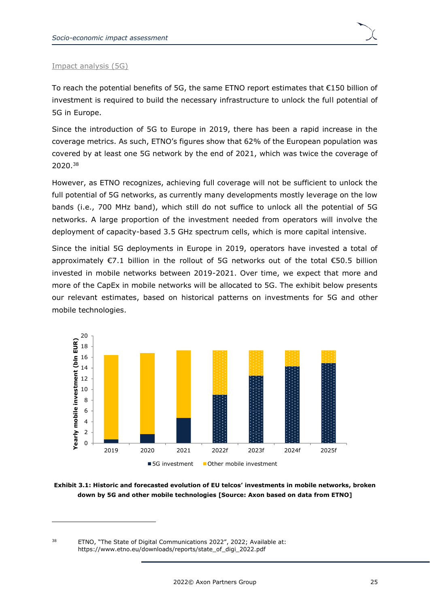#### Impact analysis (5G)

To reach the potential benefits of 5G, the same ETNO report estimates that €150 billion of investment is required to build the necessary infrastructure to unlock the full potential of 5G in Europe.

Since the introduction of 5G to Europe in 2019, there has been a rapid increase in the coverage metrics. As such, ETNO's figures show that 62% of the European population was covered by at least one 5G network by the end of 2021, which was twice the coverage of 2020.<sup>38</sup>

However, as ETNO recognizes, achieving full coverage will not be sufficient to unlock the full potential of 5G networks, as currently many developments mostly leverage on the low bands (i.e., 700 MHz band), which still do not suffice to unlock all the potential of 5G networks. A large proportion of the investment needed from operators will involve the deployment of capacity-based 3.5 GHz spectrum cells, which is more capital intensive.

Since the initial 5G deployments in Europe in 2019, operators have invested a total of approximately €7.1 billion in the rollout of 5G networks out of the total €50.5 billion invested in mobile networks between 2019-2021. Over time, we expect that more and more of the CapEx in mobile networks will be allocated to 5G. The exhibit below presents our relevant estimates, based on historical patterns on investments for 5G and other mobile technologies.



**Exhibit 3.1: Historic and forecasted evolution of EU telcos' investments in mobile networks, broken down by 5G and other mobile technologies [Source: Axon based on data from ETNO]**

<sup>&</sup>lt;sup>38</sup> ETNO, "The State of Digital Communications 2022", 2022; Available at: [https://www.etno.eu/downloads/reports/state\\_of\\_digi\\_2022.pdf](https://www.etno.eu/downloads/reports/state_of_digi_2022.pdf)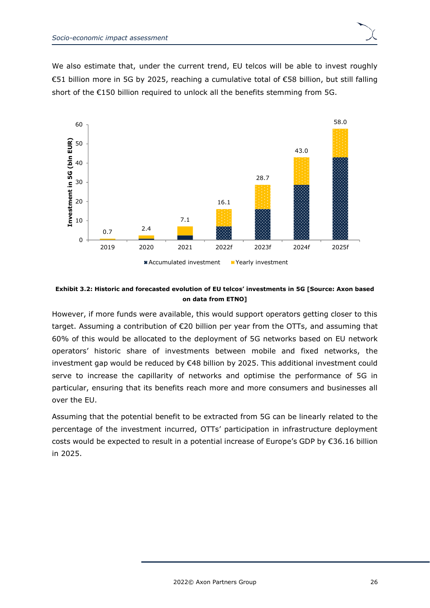



#### **Exhibit 3.2: Historic and forecasted evolution of EU telcos' investments in 5G [Source: Axon based on data from ETNO]**

However, if more funds were available, this would support operators getting closer to this target. Assuming a contribution of €20 billion per year from the OTTs, and assuming that 60% of this would be allocated to the deployment of 5G networks based on EU network operators' historic share of investments between mobile and fixed networks, the investment gap would be reduced by €48 billion by 2025. This additional investment could serve to increase the capillarity of networks and optimise the performance of 5G in particular, ensuring that its benefits reach more and more consumers and businesses all over the EU.

Assuming that the potential benefit to be extracted from 5G can be linearly related to the percentage of the investment incurred, OTTs' participation in infrastructure deployment costs would be expected to result in a potential increase of Europe's GDP by €36.16 billion in 2025.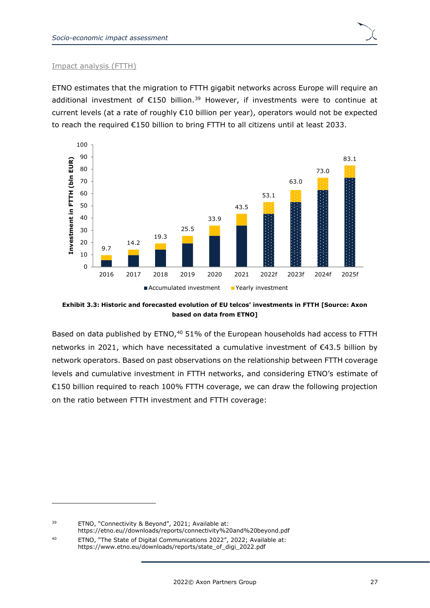#### Impact analysis (FTTH)

ETNO estimates that the migration to FTTH gigabit networks across Europe will require an additional investment of  $E$ 150 billion.<sup>39</sup> However, if investments were to continue at current levels (at a rate of roughly €10 billion per year), operators would not be expected to reach the required €150 billion to bring FTTH to all citizens until at least 2033.



**Exhibit 3.3: Historic and forecasted evolution of EU telcos' investments in FTTH [Source: Axon based on data from ETNO]**

Based on data published by ETNO,<sup>40</sup> 51% of the European households had access to FTTH networks in 2021, which have necessitated a cumulative investment of €43.5 billion by network operators. Based on past observations on the relationship between FTTH coverage levels and cumulative investment in FTTH networks, and considering ETNO's estimate of €150 billion required to reach 100% FTTH coverage, we can draw the following projection on the ratio between FTTH investment and FTTH coverage:

<sup>39</sup> ETNO, "Connectivity & Beyond", 2021; Available at:

[https://etno.eu//downloads/reports/connectivity%20and%20beyond.pdf](https://etno.eu/downloads/reports/connectivity%20and%20beyond.pdf) <sup>40</sup> ETNO, "The State of Digital Communications 2022", 2022; Available at:

[https://www.etno.eu/downloads/reports/state\\_of\\_digi\\_2022.pdf](https://www.etno.eu/downloads/reports/state_of_digi_2022.pdf)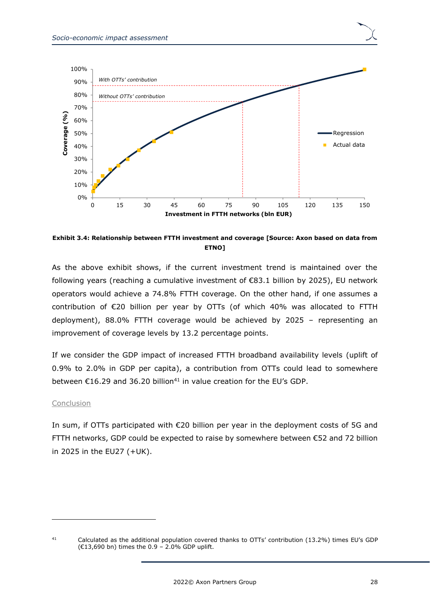

**Exhibit 3.4: Relationship between FTTH investment and coverage [Source: Axon based on data from ETNO]**

As the above exhibit shows, if the current investment trend is maintained over the following years (reaching a cumulative investment of €83.1 billion by 2025), EU network operators would achieve a 74.8% FTTH coverage. On the other hand, if one assumes a contribution of €20 billion per year by OTTs (of which 40% was allocated to FTTH deployment), 88.0% FTTH coverage would be achieved by 2025 – representing an improvement of coverage levels by 13.2 percentage points.

If we consider the GDP impact of increased FTTH broadband availability levels (uplift of 0.9% to 2.0% in GDP per capita), a contribution from OTTs could lead to somewhere between  $\epsilon$ 16.29 and 36.20 billion<sup>41</sup> in value creation for the EU's GDP.

#### Conclusion

In sum, if OTTs participated with €20 billion per year in the deployment costs of 5G and FTTH networks, GDP could be expected to raise by somewhere between €52 and 72 billion in 2025 in the EU27 (+UK).

<sup>41</sup> Calculated as the additional population covered thanks to OTTs' contribution (13.2%) times EU's GDP (€13,690 bn) times the 0.9 – 2.0% GDP uplift.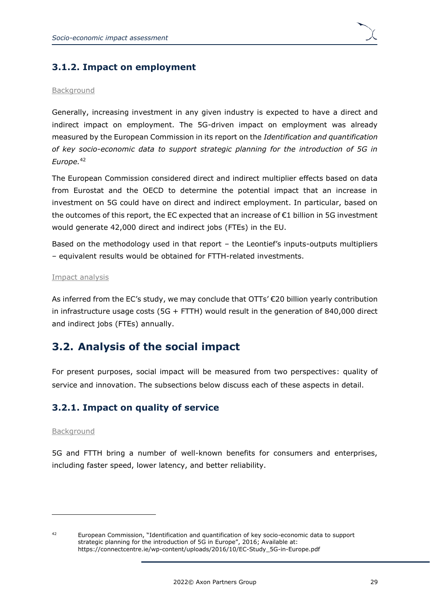

### <span id="page-32-0"></span>**3.1.2. Impact on employment**

#### Background

Generally, increasing investment in any given industry is expected to have a direct and indirect impact on employment. The 5G-driven impact on employment was already measured by the European Commission in its report on the *Identification and quantification of key socio-economic data to support strategic planning for the introduction of 5G in Europe.*<sup>42</sup>

The European Commission considered direct and indirect multiplier effects based on data from Eurostat and the OECD to determine the potential impact that an increase in investment on 5G could have on direct and indirect employment. In particular, based on the outcomes of this report, the EC expected that an increase of €1 billion in 5G investment would generate 42,000 direct and indirect jobs (FTEs) in the EU.

Based on the methodology used in that report – the Leontief's inputs-outputs multipliers – equivalent results would be obtained for FTTH-related investments.

#### Impact analysis

As inferred from the EC's study, we may conclude that OTTs'  $\epsilon$ 20 billion yearly contribution in infrastructure usage costs (5G + FTTH) would result in the generation of 840,000 direct and indirect jobs (FTEs) annually.

## <span id="page-32-1"></span>**3.2. Analysis of the social impact**

For present purposes, social impact will be measured from two perspectives: quality of service and innovation. The subsections below discuss each of these aspects in detail.

### <span id="page-32-2"></span>**3.2.1. Impact on quality of service**

#### Background

5G and FTTH bring a number of well-known benefits for consumers and enterprises, including faster speed, lower latency, and better reliability.

<sup>42</sup> European Commission, "Identification and quantification of key socio-economic data to support strategic planning for the introduction of 5G in Europe", 2016; Available at: [https://connectcentre.ie/wp-content/uploads/2016/10/EC-Study\\_5G-in-Europe.pdf](https://connectcentre.ie/wp-content/uploads/2016/10/EC-Study_5G-in-Europe.pdf)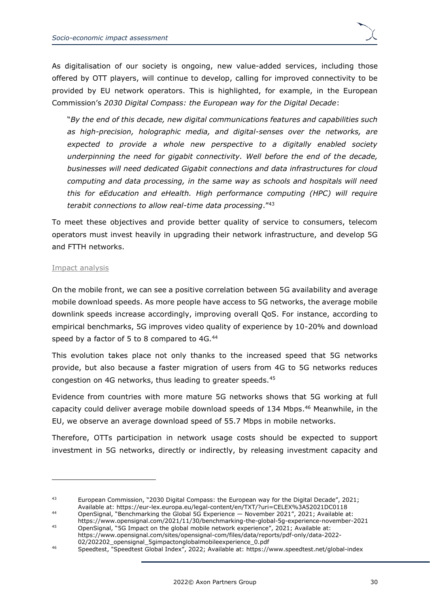As digitalisation of our society is ongoing, new value-added services, including those offered by OTT players, will continue to develop, calling for improved connectivity to be provided by EU network operators. This is highlighted, for example, in the European Commission's *2030 Digital Compass: the European way for the Digital Decade*:

"*By the end of this decade, new digital communications features and capabilities such as high-precision, holographic media, and digital-senses over the networks, are expected to provide a whole new perspective to a digitally enabled society underpinning the need for gigabit connectivity. Well before the end of the decade, businesses will need dedicated Gigabit connections and data infrastructures for cloud computing and data processing, in the same way as schools and hospitals will need this for eEducation and eHealth. High performance computing (HPC) will require terabit connections to allow real-time data processing*."<sup>43</sup>

To meet these objectives and provide better quality of service to consumers, telecom operators must invest heavily in upgrading their network infrastructure, and develop 5G and FTTH networks.

#### Impact analysis

On the mobile front, we can see a positive correlation between 5G availability and average mobile download speeds. As more people have access to 5G networks, the average mobile downlink speeds increase accordingly, improving overall QoS. For instance, according to empirical benchmarks, 5G improves video quality of experience by 10-20% and download speed by a factor of 5 to 8 compared to 4G.<sup>44</sup>

This evolution takes place not only thanks to the increased speed that 5G networks provide, but also because a faster migration of users from 4G to 5G networks reduces congestion on 4G networks, thus leading to greater speeds.<sup>45</sup>

Evidence from countries with more mature 5G networks shows that 5G working at full capacity could deliver average mobile download speeds of 134 Mbps.<sup>46</sup> Meanwhile, in the EU, we observe an average download speed of 55.7 Mbps in mobile networks.

Therefore, OTTs participation in network usage costs should be expected to support investment in 5G networks, directly or indirectly, by releasing investment capacity and

<sup>&</sup>lt;sup>43</sup> European Commission, "2030 Digital Compass: the European way for the Digital Decade", 2021; Available at:<https://eur-lex.europa.eu/legal-content/en/TXT/?uri=CELEX%3A52021DC0118>

<sup>44</sup> OpenSignal, "Benchmarking the Global 5G Experience — November 2021", 2021; Available at:

<https://www.opensignal.com/2021/11/30/benchmarking-the-global-5g-experience-november-2021> <sup>45</sup> OpenSignal, "5G Impact on the global mobile network experience", 2021; Available at: [https://www.opensignal.com/sites/opensignal-com/files/data/reports/pdf-only/data-2022-](https://www.opensignal.com/sites/opensignal-com/files/data/reports/pdf-only/data-2022-02/202202_opensignal_5gimpactonglobalmobileexperience_0.pdf) [02/202202\\_opensignal\\_5gimpactonglobalmobileexperience\\_0.pdf](https://www.opensignal.com/sites/opensignal-com/files/data/reports/pdf-only/data-2022-02/202202_opensignal_5gimpactonglobalmobileexperience_0.pdf)

<sup>46</sup> Speedtest, "Speedtest Global Index", 2022; Available at: <https://www.speedtest.net/global-index>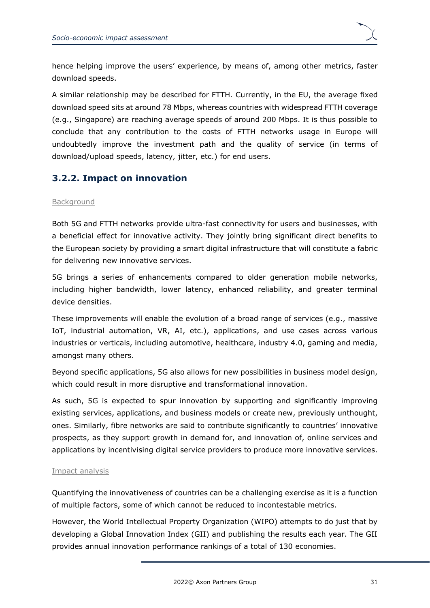hence helping improve the users' experience, by means of, among other metrics, faster download speeds.

A similar relationship may be described for FTTH. Currently, in the EU, the average fixed download speed sits at around 78 Mbps, whereas countries with widespread FTTH coverage (e.g., Singapore) are reaching average speeds of around 200 Mbps. It is thus possible to conclude that any contribution to the costs of FTTH networks usage in Europe will undoubtedly improve the investment path and the quality of service (in terms of download/upload speeds, latency, jitter, etc.) for end users.

### <span id="page-34-0"></span>**3.2.2. Impact on innovation**

#### Background

Both 5G and FTTH networks provide ultra-fast connectivity for users and businesses, with a beneficial effect for innovative activity. They jointly bring significant direct benefits to the European society by providing a smart digital infrastructure that will constitute a fabric for delivering new innovative services.

5G brings a series of enhancements compared to older generation mobile networks, including higher bandwidth, lower latency, enhanced reliability, and greater terminal device densities.

These improvements will enable the evolution of a broad range of services (e.g., massive IoT, industrial automation, VR, AI, etc.), applications, and use cases across various industries or verticals, including automotive, healthcare, industry 4.0, gaming and media, amongst many others.

Beyond specific applications, 5G also allows for new possibilities in business model design, which could result in more disruptive and transformational innovation.

As such, 5G is expected to spur innovation by supporting and significantly improving existing services, applications, and business models or create new, previously unthought, ones. Similarly, fibre networks are said to contribute significantly to countries' innovative prospects, as they support growth in demand for, and innovation of, online services and applications by incentivising digital service providers to produce more innovative services.

#### Impact analysis

Quantifying the innovativeness of countries can be a challenging exercise as it is a function of multiple factors, some of which cannot be reduced to incontestable metrics.

However, the World Intellectual Property Organization (WIPO) attempts to do just that by developing a Global Innovation Index (GII) and publishing the results each year. The GII provides annual innovation performance rankings of a total of 130 economies.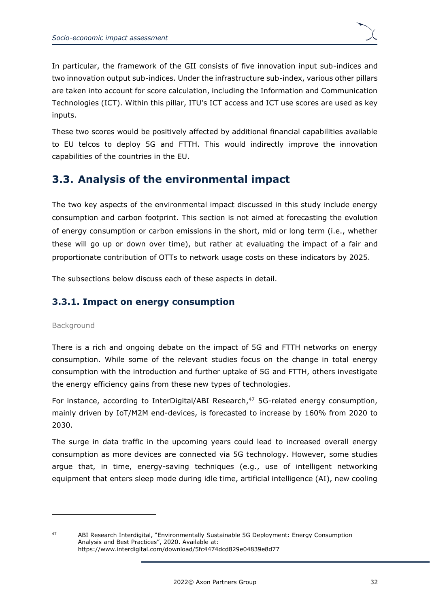In particular, the framework of the GII consists of five innovation input sub-indices and two innovation output sub-indices. Under the infrastructure sub-index, various other pillars are taken into account for score calculation, including the Information and Communication Technologies (ICT). Within this pillar, ITU's ICT access and ICT use scores are used as key inputs.

These two scores would be positively affected by additional financial capabilities available to EU telcos to deploy 5G and FTTH. This would indirectly improve the innovation capabilities of the countries in the EU.

## <span id="page-35-0"></span>**3.3. Analysis of the environmental impact**

The two key aspects of the environmental impact discussed in this study include energy consumption and carbon footprint. This section is not aimed at forecasting the evolution of energy consumption or carbon emissions in the short, mid or long term (i.e., whether these will go up or down over time), but rather at evaluating the impact of a fair and proportionate contribution of OTTs to network usage costs on these indicators by 2025.

The subsections below discuss each of these aspects in detail.

### <span id="page-35-1"></span>**3.3.1. Impact on energy consumption**

#### Background

There is a rich and ongoing debate on the impact of 5G and FTTH networks on energy consumption. While some of the relevant studies focus on the change in total energy consumption with the introduction and further uptake of 5G and FTTH, others investigate the energy efficiency gains from these new types of technologies.

For instance, according to InterDigital/ABI Research,<sup>47</sup> 5G-related energy consumption, mainly driven by IoT/M2M end-devices, is forecasted to increase by 160% from 2020 to 2030.

The surge in data traffic in the upcoming years could lead to increased overall energy consumption as more devices are connected via 5G technology. However, some studies argue that, in time, energy-saving techniques (e.g., use of intelligent networking equipment that enters sleep mode during idle time, artificial intelligence (AI), new cooling

<sup>47</sup> ABI Research Interdigital, "Environmentally Sustainable 5G Deployment: Energy Consumption Analysis and Best Practices", 2020. Available at: <https://www.interdigital.com/download/5fc4474dcd829e04839e8d77>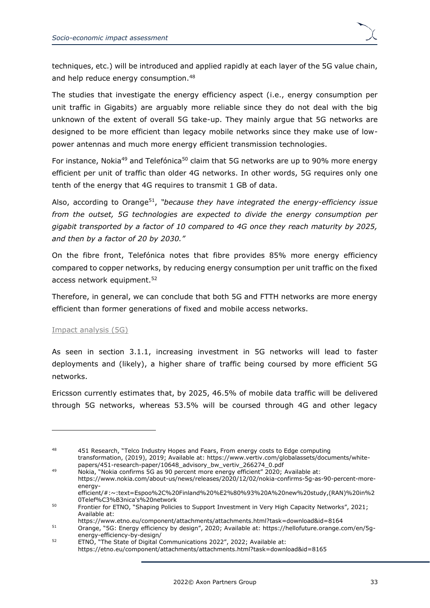

techniques, etc.) will be introduced and applied rapidly at each layer of the 5G value chain, and help reduce energy consumption.<sup>48</sup>

The studies that investigate the energy efficiency aspect (i.e., energy consumption per unit traffic in Gigabits) are arguably more reliable since they do not deal with the big unknown of the extent of overall 5G take-up. They mainly argue that 5G networks are designed to be more efficient than legacy mobile networks since they make use of lowpower antennas and much more energy efficient transmission technologies.

For instance, Nokia<sup>49</sup> and Telefónica<sup>50</sup> claim that 5G networks are up to 90% more energy efficient per unit of traffic than older 4G networks. In other words, 5G requires only one tenth of the energy that 4G requires to transmit 1 GB of data.

Also, according to Orange<sup>51</sup>, "*because they have integrated the energy-efficiency issue from the outset, 5G technologies are expected to divide the energy consumption per gigabit transported by a factor of 10 compared to 4G once they reach maturity by 2025, and then by a factor of 20 by 2030."*

On the fibre front, Telefónica notes that fibre provides 85% more energy efficiency compared to copper networks, by reducing energy consumption per unit traffic on the fixed access network equipment.<sup>52</sup>

Therefore, in general, we can conclude that both 5G and FTTH networks are more energy efficient than former generations of fixed and mobile access networks.

#### Impact analysis (5G)

As seen in section [3.1.1,](#page-27-2) increasing investment in 5G networks will lead to faster deployments and (likely), a higher share of traffic being coursed by more efficient 5G networks.

Ericsson currently estimates that, by 2025, 46.5% of mobile data traffic will be delivered through 5G networks, whereas 53.5% will be coursed through 4G and other legacy

<sup>48 451</sup> Research, "Telco Industry Hopes and Fears, From energy costs to Edge computing transformation, (2019), 2019; Available at: [https://www.vertiv.com/globalassets/documents/white](https://www.vertiv.com/globalassets/documents/white-papers/451-research-paper/10648_advisory_bw_vertiv_266274_0.pdf)[papers/451-research-paper/10648\\_advisory\\_bw\\_vertiv\\_266274\\_0.pdf](https://www.vertiv.com/globalassets/documents/white-papers/451-research-paper/10648_advisory_bw_vertiv_266274_0.pdf)

<sup>49</sup> Nokia, "Nokia confirms 5G as 90 percent more energy efficient" 2020; Available at: [https://www.nokia.com/about-us/news/releases/2020/12/02/nokia-confirms-5g-as-90-percent-more](https://www.nokia.com/about-us/news/releases/2020/12/02/nokia-confirms-5g-as-90-percent-more-energy-efficient/#:~:text=Espoo%2C%20Finland%20%E2%80%93%20A%20new%20study,(RAN)%20in%20Telef%C3%B3nica)[energy-](https://www.nokia.com/about-us/news/releases/2020/12/02/nokia-confirms-5g-as-90-percent-more-energy-efficient/#:~:text=Espoo%2C%20Finland%20%E2%80%93%20A%20new%20study,(RAN)%20in%20Telef%C3%B3nica)

[efficient/#:~:text=Espoo%2C%20Finland%20%E2%80%93%20A%20new%20study,\(RAN\)%20in%2](https://www.nokia.com/about-us/news/releases/2020/12/02/nokia-confirms-5g-as-90-percent-more-energy-efficient/#:~:text=Espoo%2C%20Finland%20%E2%80%93%20A%20new%20study,(RAN)%20in%20Telef%C3%B3nica) [0Telef%C3%B3nica's%20network](https://www.nokia.com/about-us/news/releases/2020/12/02/nokia-confirms-5g-as-90-percent-more-energy-efficient/#:~:text=Espoo%2C%20Finland%20%E2%80%93%20A%20new%20study,(RAN)%20in%20Telef%C3%B3nica)

<sup>&</sup>lt;sup>50</sup> Frontier for ETNO, "Shaping Policies to Support Investment in Very High Capacity Networks", 2021; Available at:

<https://www.etno.eu/component/attachments/attachments.html?task=download&id=8164> 51 Orange, "5G: Energy efficiency by design", 2020; Available at: [https://hellofuture.orange.com/en/5g-](https://hellofuture.orange.com/en/5g-energy-efficiency-by-design/)

[energy-efficiency-by-design/](https://hellofuture.orange.com/en/5g-energy-efficiency-by-design/)

<sup>52</sup> ETNO, "The State of Digital Communications 2022", 2022; Available at: <https://etno.eu/component/attachments/attachments.html?task=download&id=8165>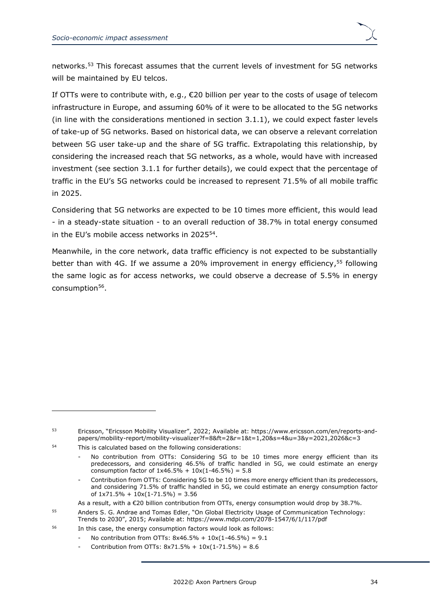

networks.<sup>53</sup> This forecast assumes that the current levels of investment for 5G networks will be maintained by EU telcos.

If OTTs were to contribute with, e.g., €20 billion per year to the costs of usage of telecom infrastructure in Europe, and assuming 60% of it were to be allocated to the 5G networks (in line with the considerations mentioned in section [3.1.1\)](#page-27-2), we could expect faster levels of take-up of 5G networks. Based on historical data, we can observe a relevant correlation between 5G user take-up and the share of 5G traffic. Extrapolating this relationship, by considering the increased reach that 5G networks, as a whole, would have with increased investment (see section [3.1.1](#page-27-2) for further details), we could expect that the percentage of traffic in the EU's 5G networks could be increased to represent 71.5% of all mobile traffic in 2025.

Considering that 5G networks are expected to be 10 times more efficient, this would lead - in a steady-state situation - to an overall reduction of 38.7% in total energy consumed in the EU's mobile access networks in 2025<sup>54</sup>.

Meanwhile, in the core network, data traffic efficiency is not expected to be substantially better than with 4G. If we assume a 20% improvement in energy efficiency,<sup>55</sup> following the same logic as for access networks, we could observe a decrease of 5.5% in energy consumption<sup>56</sup>.

<sup>53</sup> Ericsson, "Ericsson Mobility Visualizer", 2022; Available at: [https://www.ericsson.com/en/reports-and](https://www.ericsson.com/en/reports-and-papers/mobility-report/mobility-visualizer?f=8&ft=2&r=1&t=1,20&s=4&u=3&y=2021,2026&c=3)[papers/mobility-report/mobility-visualizer?f=8&ft=2&r=1&t=1,20&s=4&u=3&y=2021,2026&c=3](https://www.ericsson.com/en/reports-and-papers/mobility-report/mobility-visualizer?f=8&ft=2&r=1&t=1,20&s=4&u=3&y=2021,2026&c=3)

<sup>54</sup> This is calculated based on the following considerations:

No contribution from OTTs: Considering 5G to be 10 times more energy efficient than its predecessors, and considering 46.5% of traffic handled in 5G, we could estimate an energy consumption factor of  $1x46.5% + 10x(1-46.5%) = 5.8$ 

Contribution from OTTs: Considering 5G to be 10 times more energy efficient than its predecessors, and considering 71.5% of traffic handled in 5G, we could estimate an energy consumption factor of  $1x71.5% + 10x(1-71.5%) = 3.56$ 

As a result, with a €20 billion contribution from OTTs, energy consumption would drop by 38.7%.

<sup>55</sup> Anders S. G. Andrae and Tomas Edler, "On Global Electricity Usage of Communication Technology: Trends to 2030", 2015; Available at: <https://www.mdpi.com/2078-1547/6/1/117/pdf>

<sup>56</sup> In this case, the energy consumption factors would look as follows:

No contribution from OTTs:  $8x46.5% + 10x(1-46.5%) = 9.1$ 

Contribution from OTTs:  $8x71.5% + 10x(1-71.5%) = 8.6$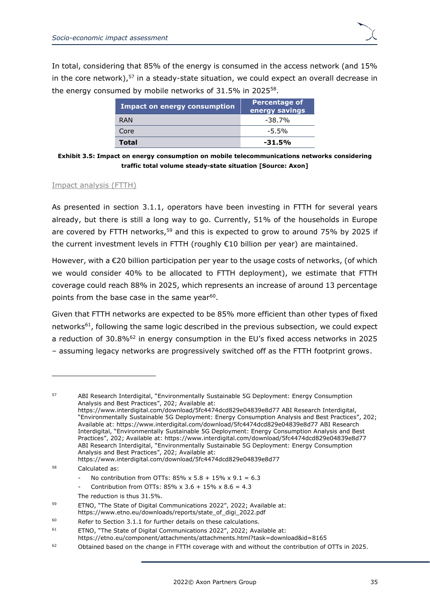In total, considering that 85% of the energy is consumed in the access network (and 15% in the core network), <sup>57</sup> in a steady-state situation, we could expect an overall decrease in the energy consumed by mobile networks of 31.5% in 2025<sup>58</sup>.

| <b>Impact on energy consumption</b> | Percentage of<br>energy savings |
|-------------------------------------|---------------------------------|
| RAN                                 | $-38.7\%$                       |
| Core                                | $-5.5%$                         |
| <b>Total</b>                        | $-31.5%$                        |

**Exhibit 3.5: Impact on energy consumption on mobile telecommunications networks considering traffic total volume steady-state situation [Source: Axon]**

#### Impact analysis (FTTH)

As presented in section [3.1.1,](#page-27-2) operators have been investing in FTTH for several years already, but there is still a long way to go. Currently, 51% of the households in Europe are covered by FTTH networks,<sup>59</sup> and this is expected to grow to around 75% by 2025 if the current investment levels in FTTH (roughly €10 billion per year) are maintained.

However, with a €20 billion participation per year to the usage costs of networks, (of which we would consider 40% to be allocated to FTTH deployment), we estimate that FTTH coverage could reach 88% in 2025, which represents an increase of around 13 percentage points from the base case in the same year<sup>60</sup>.

Given that FTTH networks are expected to be 85% more efficient than other types of fixed networks<sup>61</sup>, following the same logic described in the previous subsection, we could expect a reduction of  $30.8\%$ <sup>62</sup> in energy consumption in the EU's fixed access networks in 2025 – assuming legacy networks are progressively switched off as the FTTH footprint grows.

57 ABI Research Interdigital, "Environmentally Sustainable 5G Deployment: Energy Consumption Analysis and Best Practices", 202; Available at: <https://www.interdigital.com/download/5fc4474dcd829e04839e8d77> ABI Research Interdigital, "Environmentally Sustainable 5G Deployment: Energy Consumption Analysis and Best Practices", 202; Available at: <https://www.interdigital.com/download/5fc4474dcd829e04839e8d77> ABI Research Interdigital, "Environmentally Sustainable 5G Deployment: Energy Consumption Analysis and Best Practices", 202; Available at: <https://www.interdigital.com/download/5fc4474dcd829e04839e8d77> ABI Research Interdigital, "Environmentally Sustainable 5G Deployment: Energy Consumption Analysis and Best Practices", 202; Available at: <https://www.interdigital.com/download/5fc4474dcd829e04839e8d77> <sup>58</sup> Calculated as: No contribution from OTTs:  $85\% \times 5.8 + 15\% \times 9.1 = 6.3$ 

- Contribution from OTTs:  $85\% \times 3.6 + 15\% \times 8.6 = 4.3$
- The reduction is thus 31.5%.
- <sup>59</sup> ETNO, "The State of Digital Communications 2022", 2022; Available at: [https://www.etno.eu/downloads/reports/state\\_of\\_digi\\_2022.pdf](https://www.etno.eu/downloads/reports/state_of_digi_2022.pdf)

 $60$  Refer to Section [3.1.1](#page-27-2) for further details on these calculations.

<sup>61</sup> ETNO, "The State of Digital Communications 2022", 2022; Available at:

<https://etno.eu/component/attachments/attachments.html?task=download&id=8165> <sup>62</sup> Obtained based on the change in FTTH coverage with and without the contribution of OTTs in 2025.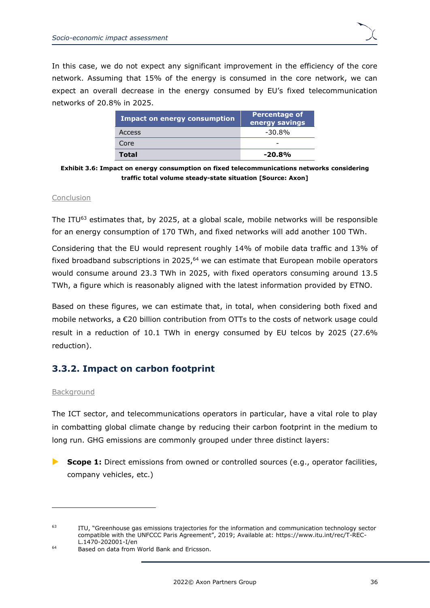In this case, we do not expect any significant improvement in the efficiency of the core network. Assuming that 15% of the energy is consumed in the core network, we can expect an overall decrease in the energy consumed by EU's fixed telecommunication networks of 20.8% in 2025.

| <b>Impact on energy consumption</b> | Percentage of<br>energy savings |
|-------------------------------------|---------------------------------|
| Access                              | $-30.8\%$                       |
| Core                                | -                               |
| <b>Total</b>                        | $-20.8\%$                       |

**Exhibit 3.6: Impact on energy consumption on fixed telecommunications networks considering traffic total volume steady-state situation [Source: Axon]**

#### Conclusion

The ITU<sup>63</sup> estimates that, by 2025, at a global scale, mobile networks will be responsible for an energy consumption of 170 TWh, and fixed networks will add another 100 TWh.

Considering that the EU would represent roughly 14% of mobile data traffic and 13% of fixed broadband subscriptions in 2025,<sup>64</sup> we can estimate that European mobile operators would consume around 23.3 TWh in 2025, with fixed operators consuming around 13.5 TWh, a figure which is reasonably aligned with the latest information provided by ETNO.

Based on these figures, we can estimate that, in total, when considering both fixed and mobile networks, a €20 billion contribution from OTTs to the costs of network usage could result in a reduction of 10.1 TWh in energy consumed by EU telcos by 2025 (27.6% reduction).

### <span id="page-39-0"></span>**3.3.2. Impact on carbon footprint**

#### Background

The ICT sector, and telecommunications operators in particular, have a vital role to play in combatting global climate change by reducing their carbon footprint in the medium to long run. GHG emissions are commonly grouped under three distinct layers:

**Scope 1:** Direct emissions from owned or controlled sources (e.g., operator facilities, company vehicles, etc.)

<sup>&</sup>lt;sup>63</sup> ITU, "Greenhouse gas emissions trajectories for the information and communication technology sector compatible with the UNFCCC Paris Agreement", 2019; Available at: [https://www.itu.int/rec/T-REC-](https://www.itu.int/rec/T-REC-L.1470-202001-I/en)[L.1470-202001-I/en](https://www.itu.int/rec/T-REC-L.1470-202001-I/en)

<sup>64</sup> Based on data from World Bank and Ericsson.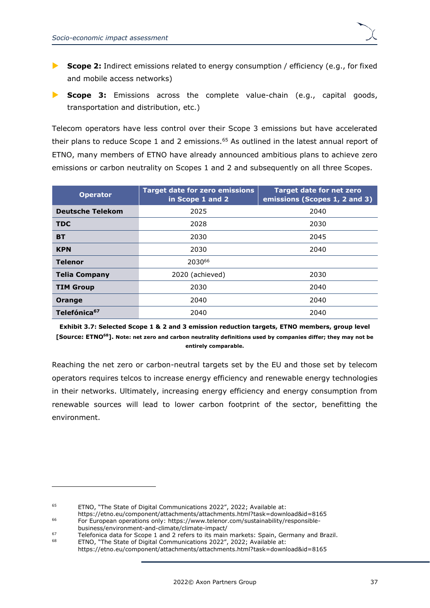- **Scope 2:** Indirect emissions related to energy consumption / efficiency (e.g., for fixed and mobile access networks)
- **Scope 3:** Emissions across the complete value-chain (e.g., capital goods, transportation and distribution, etc.)

Telecom operators have less control over their Scope 3 emissions but have accelerated their plans to reduce Scope 1 and 2 emissions.<sup>65</sup> As outlined in the latest annual report of ETNO, many members of ETNO have already announced ambitious plans to achieve zero emissions or carbon neutrality on Scopes 1 and 2 and subsequently on all three Scopes.

| <b>Operator</b>          | <b>Target date for zero emissions</b><br>in Scope 1 and 2 | <b>Target date for net zero</b><br>emissions (Scopes 1, 2 and 3) |
|--------------------------|-----------------------------------------------------------|------------------------------------------------------------------|
| <b>Deutsche Telekom</b>  | 2025                                                      | 2040                                                             |
| <b>TDC</b>               | 2028                                                      | 2030                                                             |
| <b>BT</b>                | 2030                                                      | 2045                                                             |
| <b>KPN</b>               | 2030                                                      | 2040                                                             |
| <b>Telenor</b>           | 203066                                                    |                                                                  |
| <b>Telia Company</b>     | 2020 (achieved)                                           | 2030                                                             |
| <b>TIM Group</b>         | 2030                                                      | 2040                                                             |
| Orange                   | 2040                                                      | 2040                                                             |
| Telefónica <sup>67</sup> | 2040                                                      | 2040                                                             |

**Exhibit 3.7: Selected Scope 1 & 2 and 3 emission reduction targets, ETNO members, group level [Source: ETNO<sup>68</sup>]. Note: net zero and carbon neutrality definitions used by companies differ; they may not be entirely comparable.**

Reaching the net zero or carbon-neutral targets set by the EU and those set by telecom operators requires telcos to increase energy efficiency and renewable energy technologies in their networks. Ultimately, increasing energy efficiency and energy consumption from renewable sources will lead to lower carbon footprint of the sector, benefitting the environment.

<sup>&</sup>lt;sup>65</sup> ETNO, "The State of Digital Communications 2022", 2022; Available at:

<https://etno.eu/component/attachments/attachments.html?task=download&id=8165> <sup>66</sup> For European operations only: [https://www.telenor.com/sustainability/responsible](https://www.telenor.com/sustainability/responsible-business/environment-and-climate/climate-impact/)[business/environment-and-climate/climate-impact/](https://www.telenor.com/sustainability/responsible-business/environment-and-climate/climate-impact/)

<sup>67</sup> Telefonica data for Scope 1 and 2 refers to its main markets: Spain, Germany and Brazil.

<sup>68</sup> ETNO, "The State of Digital Communications 2022", 2022; Available at: <https://etno.eu/component/attachments/attachments.html?task=download&id=8165>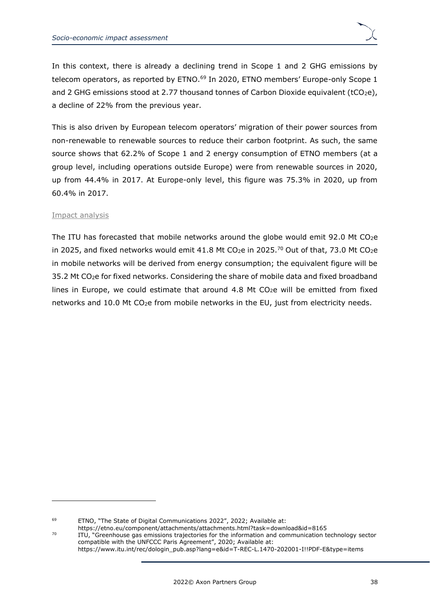In this context, there is already a declining trend in Scope 1 and 2 GHG emissions by telecom operators, as reported by ETNO.<sup>69</sup> In 2020, ETNO members' Europe-only Scope 1 and 2 GHG emissions stood at 2.77 thousand tonnes of Carbon Dioxide equivalent (tCO<sub>2</sub>e), a decline of 22% from the previous year.

This is also driven by European telecom operators' migration of their power sources from non-renewable to renewable sources to reduce their carbon footprint. As such, the same source shows that 62.2% of Scope 1 and 2 energy consumption of ETNO members (at a group level, including operations outside Europe) were from renewable sources in 2020, up from 44.4% in 2017. At Europe-only level, this figure was 75.3% in 2020, up from 60.4% in 2017.

#### Impact analysis

The ITU has forecasted that mobile networks around the globe would emit 92.0 Mt CO2e in 2025, and fixed networks would emit 41.8 Mt CO<sub>2</sub>e in 2025.<sup>70</sup> Out of that, 73.0 Mt CO<sub>2</sub>e in mobile networks will be derived from energy consumption; the equivalent figure will be 35.2 Mt CO2e for fixed networks. Considering the share of mobile data and fixed broadband lines in Europe, we could estimate that around 4.8 Mt  $CO<sub>2</sub>e$  will be emitted from fixed networks and 10.0 Mt CO<sub>2</sub>e from mobile networks in the EU, just from electricity needs.

<https://etno.eu/component/attachments/attachments.html?task=download&id=8165> <sup>70</sup> ITU, "Greenhouse gas emissions trajectories for the information and communication technology sector compatible with the UNFCCC Paris Agreement", 2020; Available at: [https://www.itu.int/rec/dologin\\_pub.asp?lang=e&id=T-REC-L.1470-202001-I!!PDF-E&type=items](https://www.itu.int/rec/dologin_pub.asp?lang=e&id=T-REC-L.1470-202001-I!!PDF-E&type=items)

<sup>69</sup> ETNO, "The State of Digital Communications 2022", 2022; Available at: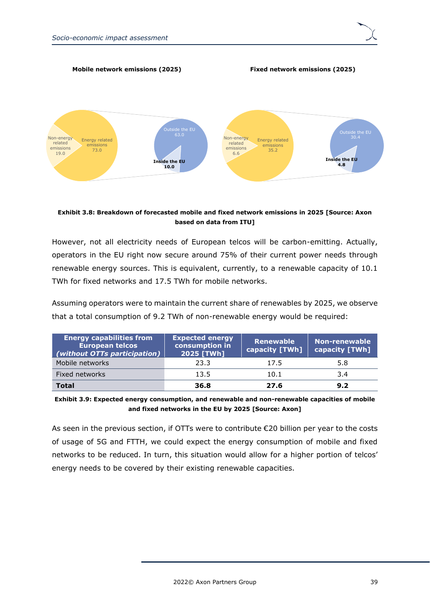

#### **Mobile network emissions (2025) Fixed network emissions (2025)**



#### **Exhibit 3.8: Breakdown of forecasted mobile and fixed network emissions in 2025 [Source: Axon based on data from ITU]**

However, not all electricity needs of European telcos will be carbon-emitting. Actually, operators in the EU right now secure around 75% of their current power needs through renewable energy sources. This is equivalent, currently, to a renewable capacity of 10.1 TWh for fixed networks and 17.5 TWh for mobile networks.

Assuming operators were to maintain the current share of renewables by 2025, we observe that a total consumption of 9.2 TWh of non-renewable energy would be required:

| <b>Energy capabilities from</b><br><b>European telcos</b><br>(without OTTs participation) | <b>Expected energy</b><br>consumption in<br>2025 [TWh] | <b>Renewable</b><br>  capacity [TWh] | <b>Non-renewable</b><br>capacity [TWh] |
|-------------------------------------------------------------------------------------------|--------------------------------------------------------|--------------------------------------|----------------------------------------|
| Mobile networks                                                                           | 23.3                                                   | 17.5                                 | 5.8                                    |
| Fixed networks                                                                            | 13.5                                                   | 10.1                                 | 3.4                                    |
| <b>Total</b>                                                                              | 36.8                                                   | 27.6                                 | 9.2                                    |

**Exhibit 3.9: Expected energy consumption, and renewable and non-renewable capacities of mobile and fixed networks in the EU by 2025 [Source: Axon]** 

As seen in the previous section, if OTTs were to contribute  $\epsilon$ 20 billion per year to the costs of usage of 5G and FTTH, we could expect the energy consumption of mobile and fixed networks to be reduced. In turn, this situation would allow for a higher portion of telcos' energy needs to be covered by their existing renewable capacities.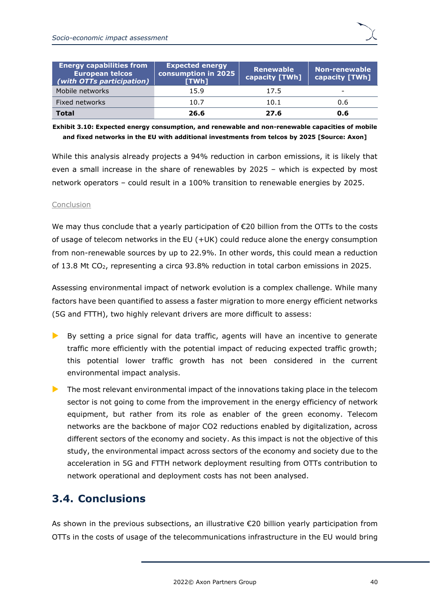| <b>Energy capabilities from</b><br><b>European telcos</b><br>(with OTTs participation) | <b>Expected energy</b><br>consumption in 2025<br>[TWh] | Renewable<br>capacity [TWh] | Non-renewable<br>capacity [TWh] <sup>1</sup> |
|----------------------------------------------------------------------------------------|--------------------------------------------------------|-----------------------------|----------------------------------------------|
| Mobile networks                                                                        | 15.9                                                   | 17.5                        |                                              |
| Fixed networks                                                                         | 10.7                                                   | 10.1                        | 0.6                                          |
| Total                                                                                  | 26.6                                                   | 27.6                        | 0.6                                          |

#### **Exhibit 3.10: Expected energy consumption, and renewable and non-renewable capacities of mobile and fixed networks in the EU with additional investments from telcos by 2025 [Source: Axon]**

While this analysis already projects a 94% reduction in carbon emissions, it is likely that even a small increase in the share of renewables by 2025 – which is expected by most network operators – could result in a 100% transition to renewable energies by 2025.

#### Conclusion

We may thus conclude that a yearly participation of €20 billion from the OTTs to the costs of usage of telecom networks in the EU (+UK) could reduce alone the energy consumption from non-renewable sources by up to 22.9%. In other words, this could mean a reduction of 13.8 Mt CO2, representing a circa 93.8% reduction in total carbon emissions in 2025.

Assessing environmental impact of network evolution is a complex challenge. While many factors have been quantified to assess a faster migration to more energy efficient networks (5G and FTTH), two highly relevant drivers are more difficult to assess:

- By setting a price signal for data traffic, agents will have an incentive to generate traffic more efficiently with the potential impact of reducing expected traffic growth; this potential lower traffic growth has not been considered in the current environmental impact analysis.
- **The most relevant environmental impact of the innovations taking place in the telecom** sector is not going to come from the improvement in the energy efficiency of network equipment, but rather from its role as enabler of the green economy. Telecom networks are the backbone of major CO2 reductions enabled by digitalization, across different sectors of the economy and society. As this impact is not the objective of this study, the environmental impact across sectors of the economy and society due to the acceleration in 5G and FTTH network deployment resulting from OTTs contribution to network operational and deployment costs has not been analysed.

## <span id="page-43-0"></span>**3.4. Conclusions**

As shown in the previous subsections, an illustrative €20 billion yearly participation from OTTs in the costs of usage of the telecommunications infrastructure in the EU would bring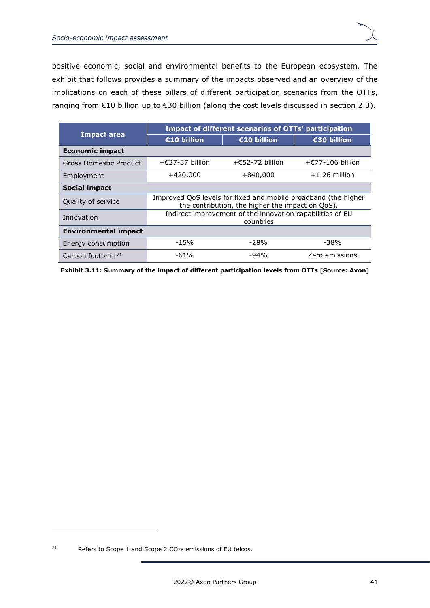| <b>Impact area</b>             | Impact of different scenarios of OTTs' participation                                                               |                           |                            |  |
|--------------------------------|--------------------------------------------------------------------------------------------------------------------|---------------------------|----------------------------|--|
|                                | €10 billion                                                                                                        | €20 billion               | €30 billion                |  |
| Economic impact                |                                                                                                                    |                           |                            |  |
| Gross Domestic Product         | $+\epsilon$ 27-37 billion                                                                                          | $+\epsilon$ 52-72 billion | $+\epsilon$ 77-106 billion |  |
| Employment                     | +420,000                                                                                                           | $+840,000$                | $+1.26$ million            |  |
| <b>Social impact</b>           |                                                                                                                    |                           |                            |  |
| Quality of service             | Improved QoS levels for fixed and mobile broadband (the higher<br>the contribution, the higher the impact on QoS). |                           |                            |  |
| Innovation                     | Indirect improvement of the innovation capabilities of EU<br>countries                                             |                           |                            |  |
| <b>Environmental impact</b>    |                                                                                                                    |                           |                            |  |
| Energy consumption             | $-15%$                                                                                                             | $-28%$                    | -38%                       |  |
| Carbon footprint <sup>71</sup> | $-61%$                                                                                                             | $-94%$                    | Zero emissions             |  |

**Exhibit 3.11: Summary of the impact of different participation levels from OTTs [Source: Axon]**

 $71$  Refers to Scope 1 and Scope 2 CO<sub>2</sub>e emissions of EU telcos.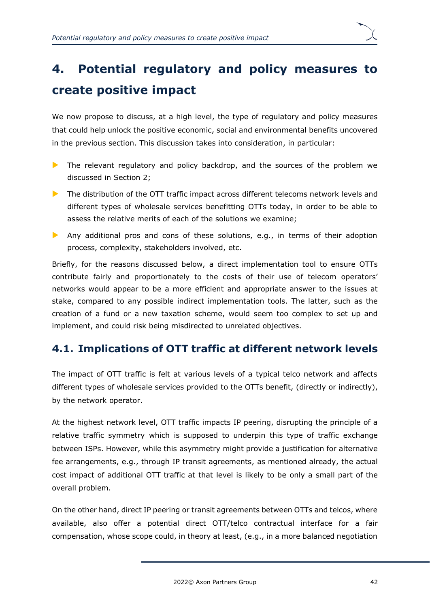

# <span id="page-45-0"></span>**4. Potential regulatory and policy measures to create positive impact**

We now propose to discuss, at a high level, the type of regulatory and policy measures that could help unlock the positive economic, social and environmental benefits uncovered in the previous section. This discussion takes into consideration, in particular:

- The relevant regulatory and policy backdrop, and the sources of the problem we discussed in Section [2;](#page-7-0)
- $\blacktriangleright$  The distribution of the OTT traffic impact across different telecoms network levels and different types of wholesale services benefitting OTTs today, in order to be able to assess the relative merits of each of the solutions we examine;
- Any additional pros and cons of these solutions, e.g., in terms of their adoption process, complexity, stakeholders involved, etc.

Briefly, for the reasons discussed below, a direct implementation tool to ensure OTTs contribute fairly and proportionately to the costs of their use of telecom operators' networks would appear to be a more efficient and appropriate answer to the issues at stake, compared to any possible indirect implementation tools. The latter, such as the creation of a fund or a new taxation scheme, would seem too complex to set up and implement, and could risk being misdirected to unrelated objectives.

## <span id="page-45-1"></span>**4.1. Implications of OTT traffic at different network levels**

The impact of OTT traffic is felt at various levels of a typical telco network and affects different types of wholesale services provided to the OTTs benefit, (directly or indirectly), by the network operator.

At the highest network level, OTT traffic impacts IP peering, disrupting the principle of a relative traffic symmetry which is supposed to underpin this type of traffic exchange between ISPs. However, while this asymmetry might provide a justification for alternative fee arrangements, e.g., through IP transit agreements, as mentioned already, the actual cost impact of additional OTT traffic at that level is likely to be only a small part of the overall problem.

On the other hand, direct IP peering or transit agreements between OTTs and telcos, where available, also offer a potential direct OTT/telco contractual interface for a fair compensation, whose scope could, in theory at least, (e.g., in a more balanced negotiation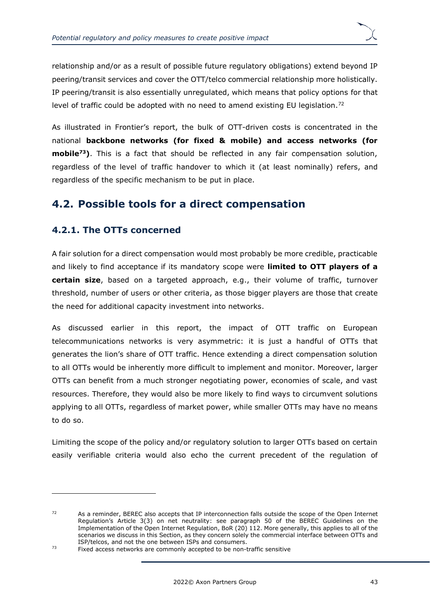relationship and/or as a result of possible future regulatory obligations) extend beyond IP peering/transit services and cover the OTT/telco commercial relationship more holistically. IP peering/transit is also essentially unregulated, which means that policy options for that level of traffic could be adopted with no need to amend existing EU legislation.<sup>72</sup>

As illustrated in Frontier's report, the bulk of OTT-driven costs is concentrated in the national **backbone networks (for fixed & mobile) and access networks (for mobile<sup>73</sup>)**. This is a fact that should be reflected in any fair compensation solution, regardless of the level of traffic handover to which it (at least nominally) refers, and regardless of the specific mechanism to be put in place.

## <span id="page-46-0"></span>**4.2. Possible tools for a direct compensation**

### <span id="page-46-1"></span>**4.2.1. The OTTs concerned**

A fair solution for a direct compensation would most probably be more credible, practicable and likely to find acceptance if its mandatory scope were **limited to OTT players of a certain size**, based on a targeted approach, e.g., their volume of traffic, turnover threshold, number of users or other criteria, as those bigger players are those that create the need for additional capacity investment into networks.

As discussed earlier in this report, the impact of OTT traffic on European telecommunications networks is very asymmetric: it is just a handful of OTTs that generates the lion's share of OTT traffic. Hence extending a direct compensation solution to all OTTs would be inherently more difficult to implement and monitor. Moreover, larger OTTs can benefit from a much stronger negotiating power, economies of scale, and vast resources. Therefore, they would also be more likely to find ways to circumvent solutions applying to all OTTs, regardless of market power, while smaller OTTs may have no means to do so.

Limiting the scope of the policy and/or regulatory solution to larger OTTs based on certain easily verifiable criteria would also echo the current precedent of the regulation of

 $72$  As a reminder, BEREC also accepts that IP interconnection falls outside the scope of the Open Internet Regulation's Article 3(3) on net neutrality: see paragraph 50 of the BEREC Guidelines on the Implementation of the Open Internet Regulation, BoR (20) 112. More generally, this applies to all of the scenarios we discuss in this Section, as they concern solely the commercial interface between OTTs and ISP/telcos, and not the one between ISPs and consumers.

The commonly accepted to be non-traffic sensitive<br><sup>73</sup> Fixed access networks are commonly accepted to be non-traffic sensitive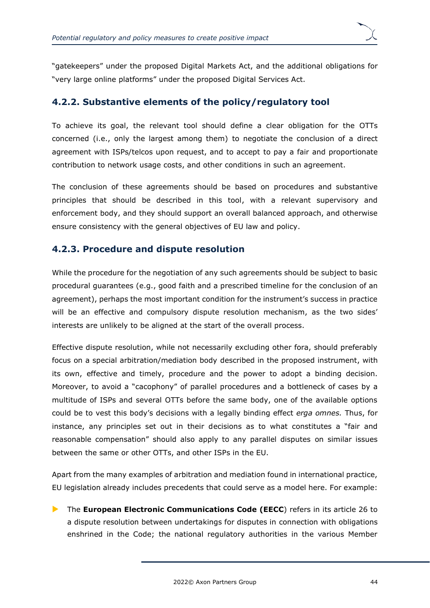

"gatekeepers" under the proposed Digital Markets Act, and the additional obligations for "very large online platforms" under the proposed Digital Services Act.

### <span id="page-47-0"></span>**4.2.2. Substantive elements of the policy/regulatory tool**

To achieve its goal, the relevant tool should define a clear obligation for the OTTs concerned (i.e., only the largest among them) to negotiate the conclusion of a direct agreement with ISPs/telcos upon request, and to accept to pay a fair and proportionate contribution to network usage costs, and other conditions in such an agreement.

The conclusion of these agreements should be based on procedures and substantive principles that should be described in this tool, with a relevant supervisory and enforcement body, and they should support an overall balanced approach, and otherwise ensure consistency with the general objectives of EU law and policy.

### <span id="page-47-1"></span>**4.2.3. Procedure and dispute resolution**

While the procedure for the negotiation of any such agreements should be subject to basic procedural guarantees (e.g., good faith and a prescribed timeline for the conclusion of an agreement), perhaps the most important condition for the instrument's success in practice will be an effective and compulsory dispute resolution mechanism, as the two sides' interests are unlikely to be aligned at the start of the overall process.

Effective dispute resolution, while not necessarily excluding other fora, should preferably focus on a special arbitration/mediation body described in the proposed instrument, with its own, effective and timely, procedure and the power to adopt a binding decision. Moreover, to avoid a "cacophony" of parallel procedures and a bottleneck of cases by a multitude of ISPs and several OTTs before the same body, one of the available options could be to vest this body's decisions with a legally binding effect *erga omnes.* Thus, for instance, any principles set out in their decisions as to what constitutes a "fair and reasonable compensation" should also apply to any parallel disputes on similar issues between the same or other OTTs, and other ISPs in the EU.

Apart from the many examples of arbitration and mediation found in international practice, EU legislation already includes precedents that could serve as a model here. For example:

▶ The **European Electronic Communications Code (EECC**) refers in its article 26 to a dispute resolution between undertakings for disputes in connection with obligations enshrined in the Code; the national regulatory authorities in the various Member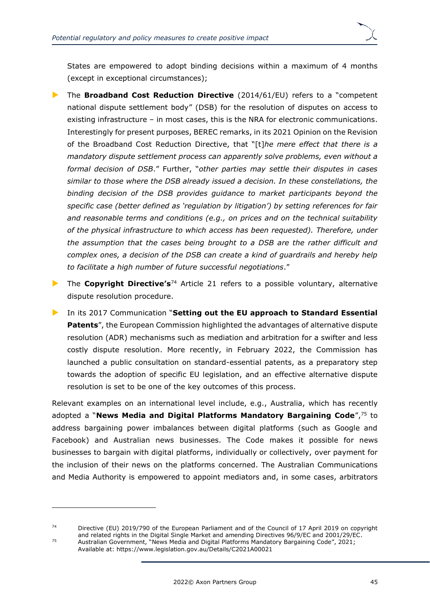States are empowered to adopt binding decisions within a maximum of 4 months (except in exceptional circumstances);

- The **Broadband Cost Reduction Directive** (2014/61/EU) refers to a "competent national dispute settlement body" (DSB) for the resolution of disputes on access to existing infrastructure – in most cases, this is the NRA for electronic communications. Interestingly for present purposes, BEREC remarks, in its 2021 Opinion on the Revision of the Broadband Cost Reduction Directive, that "[t]*he mere effect that there is a mandatory dispute settlement process can apparently solve problems, even without a formal decision of DSB*." Further, "*other parties may settle their disputes in cases similar to those where the DSB already issued a decision. In these constellations, the binding decision of the DSB provides guidance to market participants beyond the specific case (better defined as 'regulation by litigation') by setting references for fair and reasonable terms and conditions (e.g., on prices and on the technical suitability of the physical infrastructure to which access has been requested). Therefore, under the assumption that the cases being brought to a DSB are the rather difficult and complex ones, a decision of the DSB can create a kind of guardrails and hereby help to facilitate a high number of future successful negotiations*."
- ▶ The **Copyright Directive's**<sup>74</sup> Article 21 refers to a possible voluntary, alternative dispute resolution procedure.
- In its 2017 Communication "**Setting out the EU approach to Standard Essential Patents**", the European Commission highlighted the advantages of alternative dispute resolution (ADR) mechanisms such as mediation and arbitration for a swifter and less costly dispute resolution. More recently, in February 2022, the Commission has launched a public consultation on standard-essential patents, as a preparatory step towards the adoption of specific EU legislation, and an effective alternative dispute resolution is set to be one of the key outcomes of this process.

Relevant examples on an international level include, e.g., Australia, which has recently adopted a "**News Media and Digital Platforms Mandatory Bargaining Code**",<sup>75</sup> to address bargaining power imbalances between digital platforms (such as Google and Facebook) and Australian news businesses. The Code makes it possible for news businesses to bargain with digital platforms, individually or collectively, over payment for the inclusion of their news on the platforms concerned. The Australian Communications and Media Authority is empowered to appoint mediators and, in some cases, arbitrators

<sup>74</sup> Directive (EU) 2019/790 of the European Parliament and of the Council of 17 April 2019 on copyright and related rights in the Digital Single Market and amending Directives 96/9/EC and 2001/29/EC. <sup>75</sup> Australian Government, "News Media and Digital Platforms Mandatory Bargaining Code", 2021; Available at:<https://www.legislation.gov.au/Details/C2021A00021>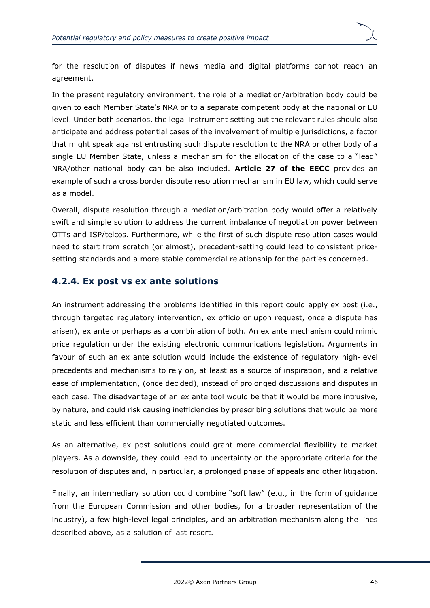

for the resolution of disputes if news media and digital platforms cannot reach an agreement.

In the present regulatory environment, the role of a mediation/arbitration body could be given to each Member State's NRA or to a separate competent body at the national or EU level. Under both scenarios, the legal instrument setting out the relevant rules should also anticipate and address potential cases of the involvement of multiple jurisdictions, a factor that might speak against entrusting such dispute resolution to the NRA or other body of a single EU Member State, unless a mechanism for the allocation of the case to a "lead" NRA/other national body can be also included. **Article 27 of the EECC** provides an example of such a cross border dispute resolution mechanism in EU law, which could serve as a model.

Overall, dispute resolution through a mediation/arbitration body would offer a relatively swift and simple solution to address the current imbalance of negotiation power between OTTs and ISP/telcos. Furthermore, while the first of such dispute resolution cases would need to start from scratch (or almost), precedent-setting could lead to consistent pricesetting standards and a more stable commercial relationship for the parties concerned.

### <span id="page-49-0"></span>**4.2.4. Ex post vs ex ante solutions**

An instrument addressing the problems identified in this report could apply ex post (i.e., through targeted regulatory intervention, ex officio or upon request, once a dispute has arisen), ex ante or perhaps as a combination of both. An ex ante mechanism could mimic price regulation under the existing electronic communications legislation. Arguments in favour of such an ex ante solution would include the existence of regulatory high-level precedents and mechanisms to rely on, at least as a source of inspiration, and a relative ease of implementation, (once decided), instead of prolonged discussions and disputes in each case. The disadvantage of an ex ante tool would be that it would be more intrusive, by nature, and could risk causing inefficiencies by prescribing solutions that would be more static and less efficient than commercially negotiated outcomes.

As an alternative, ex post solutions could grant more commercial flexibility to market players. As a downside, they could lead to uncertainty on the appropriate criteria for the resolution of disputes and, in particular, a prolonged phase of appeals and other litigation.

Finally, an intermediary solution could combine "soft law" (e.g., in the form of guidance from the European Commission and other bodies, for a broader representation of the industry), a few high-level legal principles, and an arbitration mechanism along the lines described above, as a solution of last resort.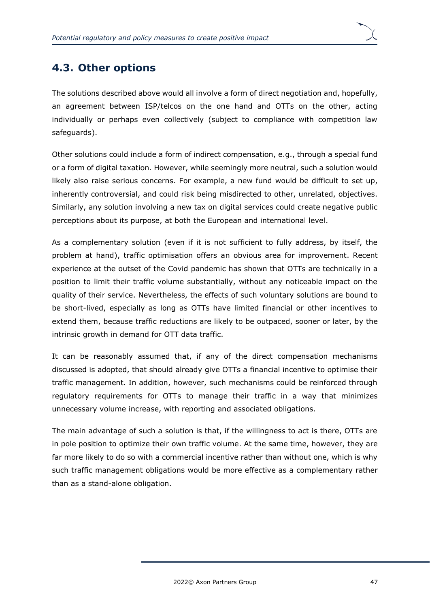## <span id="page-50-0"></span>**4.3. Other options**

The solutions described above would all involve a form of direct negotiation and, hopefully, an agreement between ISP/telcos on the one hand and OTTs on the other, acting individually or perhaps even collectively (subject to compliance with competition law safeguards).

Other solutions could include a form of indirect compensation, e.g., through a special fund or a form of digital taxation. However, while seemingly more neutral, such a solution would likely also raise serious concerns. For example, a new fund would be difficult to set up, inherently controversial, and could risk being misdirected to other, unrelated, objectives. Similarly, any solution involving a new tax on digital services could create negative public perceptions about its purpose, at both the European and international level.

As a complementary solution (even if it is not sufficient to fully address, by itself, the problem at hand), traffic optimisation offers an obvious area for improvement. Recent experience at the outset of the Covid pandemic has shown that OTTs are technically in a position to limit their traffic volume substantially, without any noticeable impact on the quality of their service. Nevertheless, the effects of such voluntary solutions are bound to be short-lived, especially as long as OTTs have limited financial or other incentives to extend them, because traffic reductions are likely to be outpaced, sooner or later, by the intrinsic growth in demand for OTT data traffic.

It can be reasonably assumed that, if any of the direct compensation mechanisms discussed is adopted, that should already give OTTs a financial incentive to optimise their traffic management. In addition, however, such mechanisms could be reinforced through regulatory requirements for OTTs to manage their traffic in a way that minimizes unnecessary volume increase, with reporting and associated obligations.

The main advantage of such a solution is that, if the willingness to act is there, OTTs are in pole position to optimize their own traffic volume. At the same time, however, they are far more likely to do so with a commercial incentive rather than without one, which is why such traffic management obligations would be more effective as a complementary rather than as a stand-alone obligation.